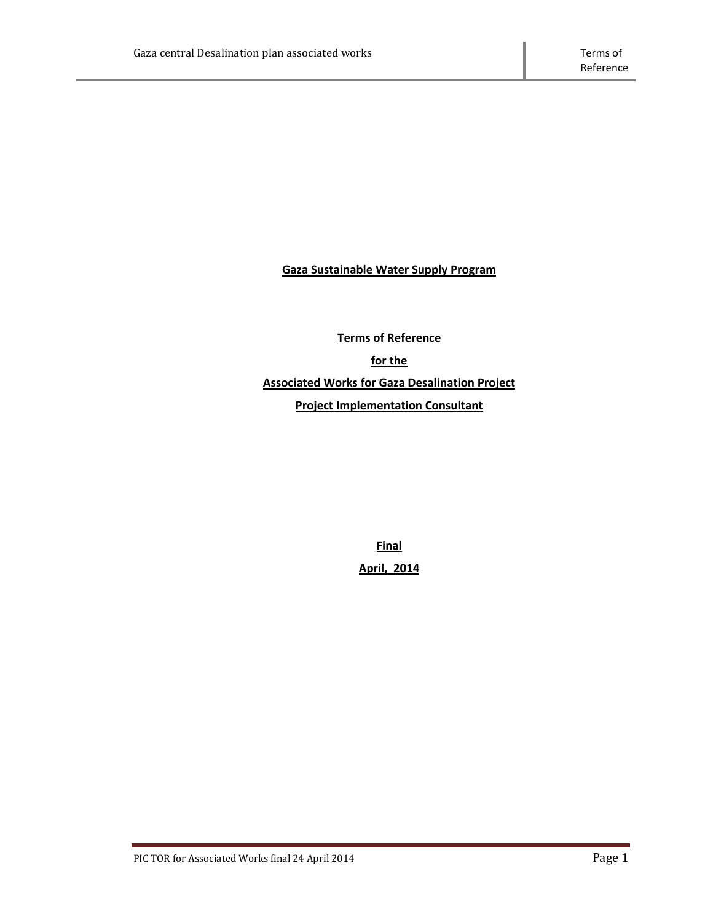**Gaza Sustainable Water Supply Program**

**Terms of Reference for the Associated Works for Gaza Desalination Project Project Implementation Consultant**

> **Final April, 2014**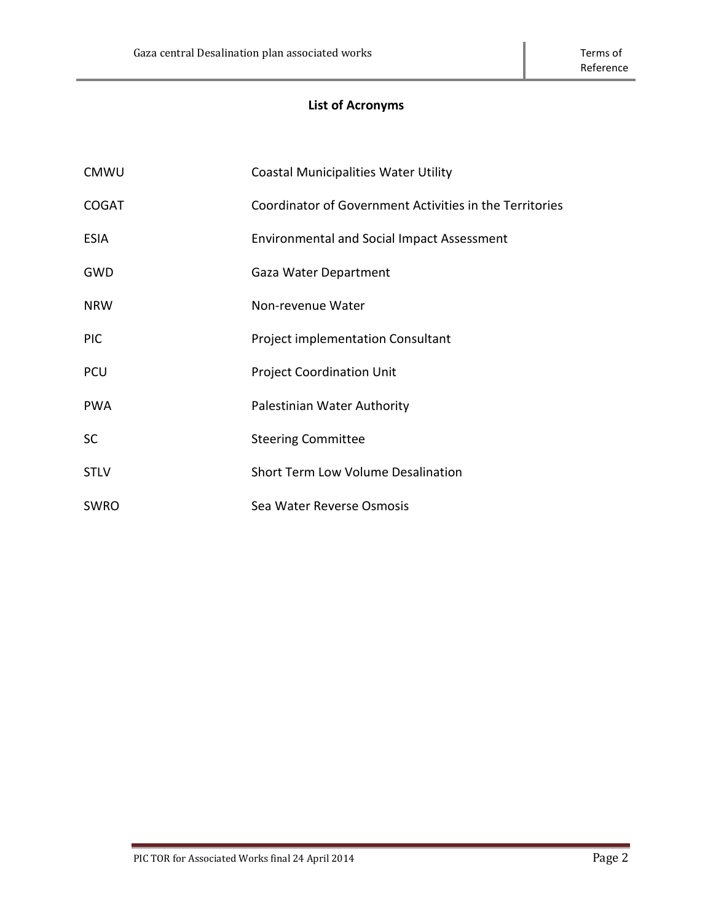# **List of Acronyms**

| <b>CMWU</b>  | <b>Coastal Municipalities Water Utility</b>             |  |
|--------------|---------------------------------------------------------|--|
| <b>COGAT</b> | Coordinator of Government Activities in the Territories |  |
| <b>ESIA</b>  | <b>Environmental and Social Impact Assessment</b>       |  |
| <b>GWD</b>   | Gaza Water Department                                   |  |
| <b>NRW</b>   | Non-revenue Water                                       |  |
| <b>PIC</b>   | Project implementation Consultant                       |  |
| <b>PCU</b>   | <b>Project Coordination Unit</b>                        |  |
| <b>PWA</b>   | Palestinian Water Authority                             |  |
| <b>SC</b>    | <b>Steering Committee</b>                               |  |
| <b>STLV</b>  | Short Term Low Volume Desalination                      |  |
| <b>SWRO</b>  | Sea Water Reverse Osmosis                               |  |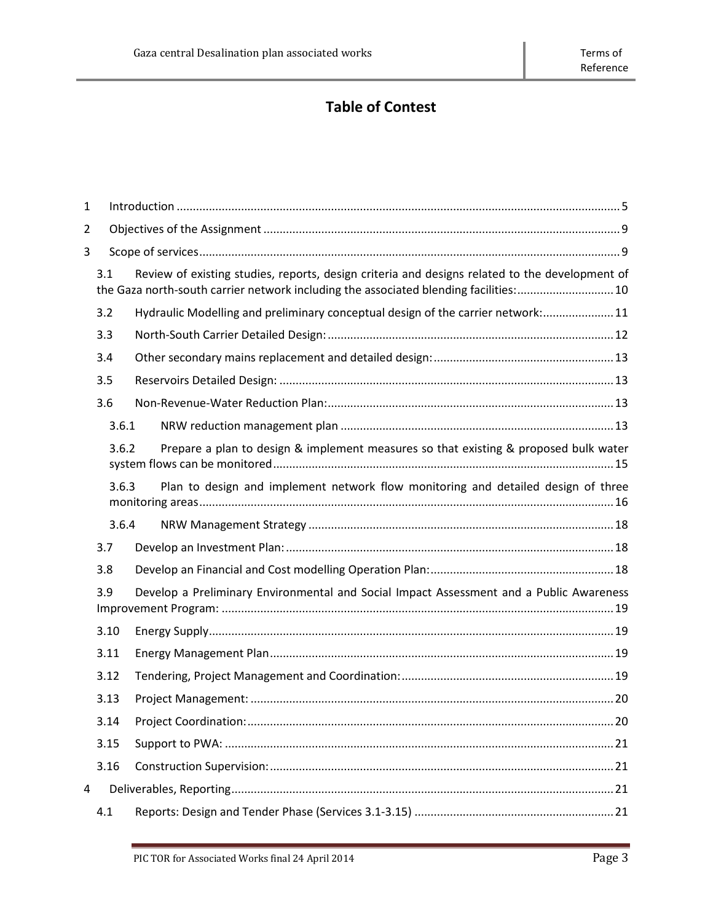# **Table of Contest**

| $\mathbf{1}$   |                                                                                                |                                                                                                                                                                                        |  |  |
|----------------|------------------------------------------------------------------------------------------------|----------------------------------------------------------------------------------------------------------------------------------------------------------------------------------------|--|--|
| $\overline{2}$ |                                                                                                |                                                                                                                                                                                        |  |  |
| 3              |                                                                                                |                                                                                                                                                                                        |  |  |
|                | 3.1                                                                                            | Review of existing studies, reports, design criteria and designs related to the development of<br>the Gaza north-south carrier network including the associated blending facilities:10 |  |  |
|                | 3.2                                                                                            | Hydraulic Modelling and preliminary conceptual design of the carrier network: 11                                                                                                       |  |  |
|                | 3.3                                                                                            |                                                                                                                                                                                        |  |  |
|                | 3.4                                                                                            |                                                                                                                                                                                        |  |  |
|                | 3.5                                                                                            |                                                                                                                                                                                        |  |  |
|                | 3.6                                                                                            |                                                                                                                                                                                        |  |  |
|                | 3.6.1                                                                                          |                                                                                                                                                                                        |  |  |
|                | 3.6.2                                                                                          | Prepare a plan to design & implement measures so that existing & proposed bulk water                                                                                                   |  |  |
|                | 3.6.3                                                                                          | Plan to design and implement network flow monitoring and detailed design of three                                                                                                      |  |  |
|                | 3.6.4                                                                                          |                                                                                                                                                                                        |  |  |
|                | 3.7                                                                                            |                                                                                                                                                                                        |  |  |
|                | 3.8                                                                                            |                                                                                                                                                                                        |  |  |
|                | Develop a Preliminary Environmental and Social Impact Assessment and a Public Awareness<br>3.9 |                                                                                                                                                                                        |  |  |
|                | 3.10                                                                                           |                                                                                                                                                                                        |  |  |
|                | 3.11                                                                                           |                                                                                                                                                                                        |  |  |
|                | 3.12                                                                                           |                                                                                                                                                                                        |  |  |
|                | 3.13                                                                                           |                                                                                                                                                                                        |  |  |
|                | 3.14                                                                                           |                                                                                                                                                                                        |  |  |
|                | 3.15                                                                                           |                                                                                                                                                                                        |  |  |
|                | 3.16                                                                                           |                                                                                                                                                                                        |  |  |
| 4              |                                                                                                |                                                                                                                                                                                        |  |  |
|                | 4.1                                                                                            |                                                                                                                                                                                        |  |  |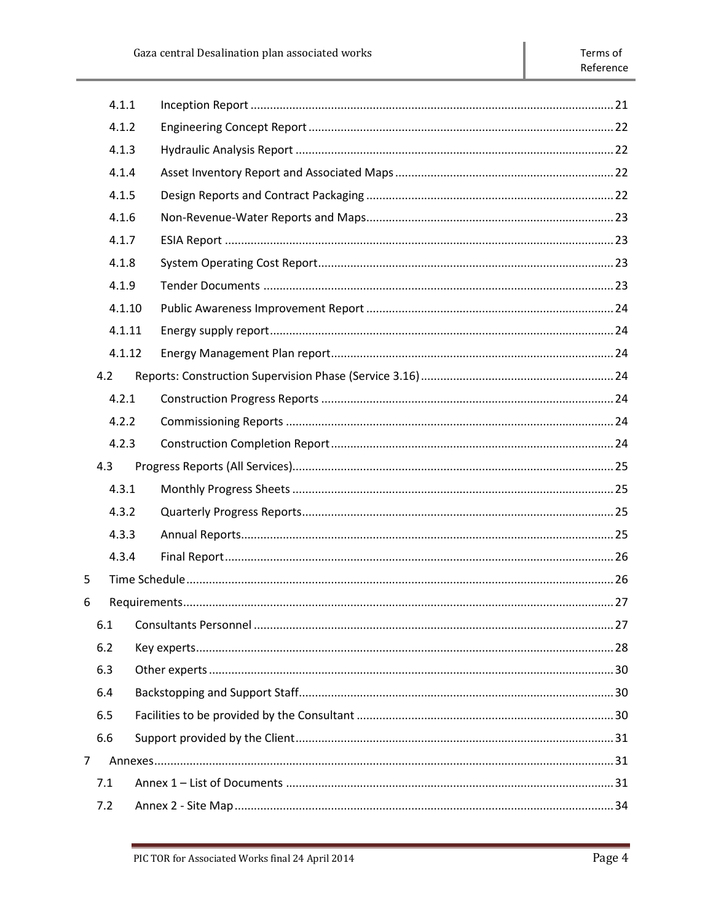|                | 4.1.1  |  |  |  |
|----------------|--------|--|--|--|
|                | 4.1.2  |  |  |  |
|                | 4.1.3  |  |  |  |
|                | 4.1.4  |  |  |  |
|                | 4.1.5  |  |  |  |
|                | 4.1.6  |  |  |  |
|                | 4.1.7  |  |  |  |
|                | 4.1.8  |  |  |  |
|                | 4.1.9  |  |  |  |
|                | 4.1.10 |  |  |  |
|                | 4.1.11 |  |  |  |
|                | 4.1.12 |  |  |  |
|                | 4.2    |  |  |  |
|                | 4.2.1  |  |  |  |
|                | 4.2.2  |  |  |  |
|                | 4.2.3  |  |  |  |
|                | 4.3    |  |  |  |
|                | 4.3.1  |  |  |  |
|                | 4.3.2  |  |  |  |
|                | 4.3.3  |  |  |  |
|                | 4.3.4  |  |  |  |
| 5              |        |  |  |  |
| 6              |        |  |  |  |
|                | 6.1    |  |  |  |
|                | 6.2    |  |  |  |
|                | 6.3    |  |  |  |
|                | 6.4    |  |  |  |
|                | 6.5    |  |  |  |
|                | 6.6    |  |  |  |
| $\overline{7}$ |        |  |  |  |
|                | 7.1    |  |  |  |
|                | 7.2    |  |  |  |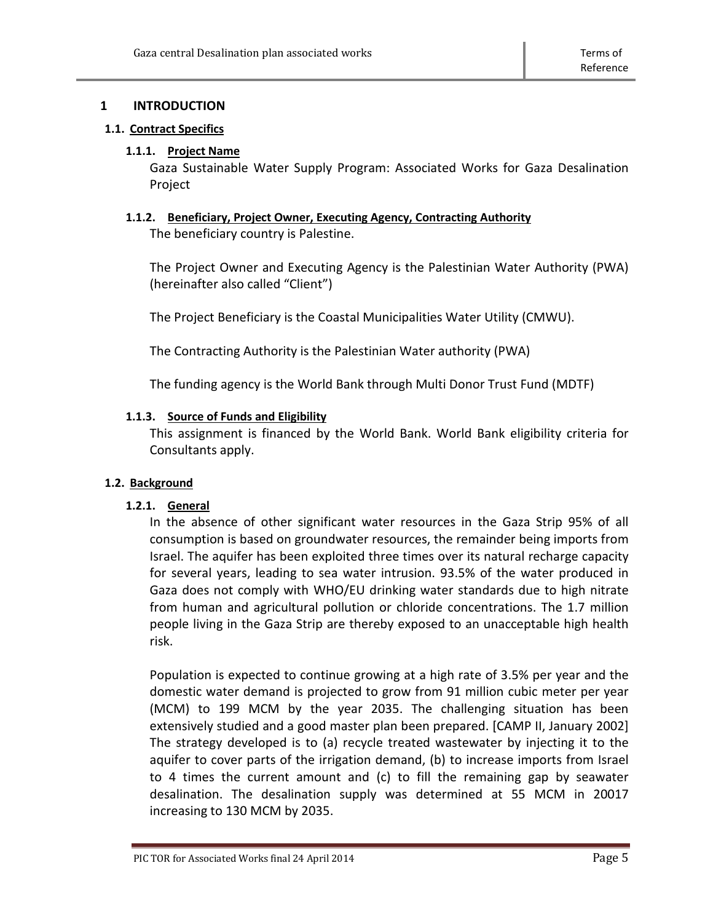# <span id="page-4-0"></span>**1 INTRODUCTION**

# **1.1. Contract Specifics**

#### **1.1.1. Project Name**

Gaza Sustainable Water Supply Program: Associated Works for Gaza Desalination Project

# **1.1.2. Beneficiary, Project Owner, Executing Agency, Contracting Authority** The beneficiary country is Palestine.

The Project Owner and Executing Agency is the Palestinian Water Authority (PWA) (hereinafter also called "Client")

The Project Beneficiary is the Coastal Municipalities Water Utility (CMWU).

The Contracting Authority is the Palestinian Water authority (PWA)

The funding agency is the World Bank through Multi Donor Trust Fund (MDTF)

# **1.1.3. Source of Funds and Eligibility**

This assignment is financed by the World Bank. World Bank eligibility criteria for Consultants apply.

# **1.2. Background**

# **1.2.1. General**

In the absence of other significant water resources in the Gaza Strip 95% of all consumption is based on groundwater resources, the remainder being imports from Israel. The aquifer has been exploited three times over its natural recharge capacity for several years, leading to sea water intrusion. 93.5% of the water produced in Gaza does not comply with WHO/EU drinking water standards due to high nitrate from human and agricultural pollution or chloride concentrations. The 1.7 million people living in the Gaza Strip are thereby exposed to an unacceptable high health risk.

Population is expected to continue growing at a high rate of 3.5% per year and the domestic water demand is projected to grow from 91 million cubic meter per year (MCM) to 199 MCM by the year 2035. The challenging situation has been extensively studied and a good master plan been prepared. [CAMP II, January 2002] The strategy developed is to (a) recycle treated wastewater by injecting it to the aquifer to cover parts of the irrigation demand, (b) to increase imports from Israel to 4 times the current amount and (c) to fill the remaining gap by seawater desalination. The desalination supply was determined at 55 MCM in 20017 increasing to 130 MCM by 2035.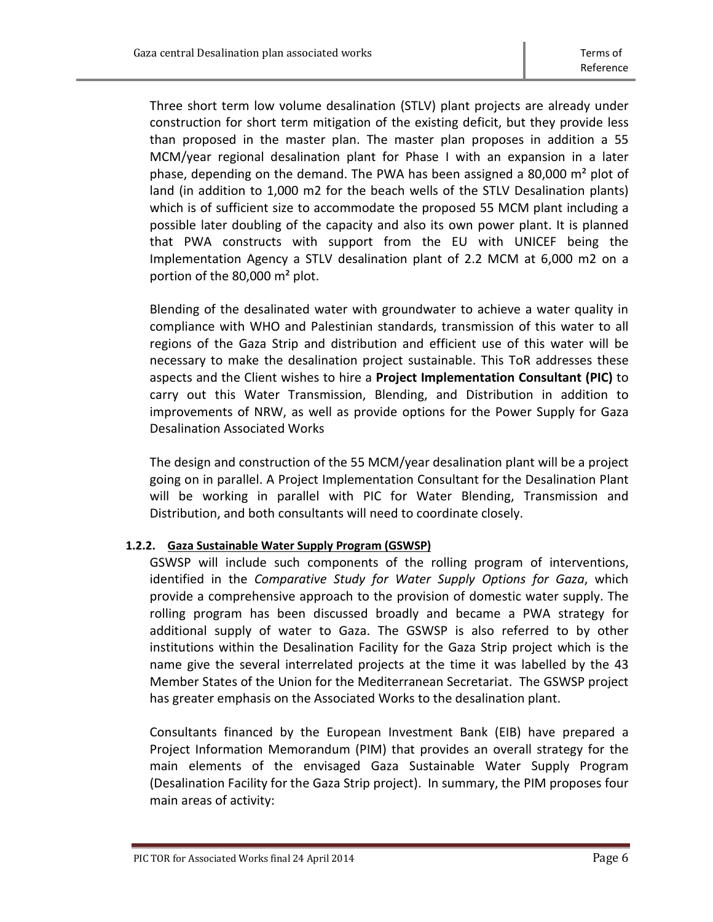Three short term low volume desalination (STLV) plant projects are already under construction for short term mitigation of the existing deficit, but they provide less than proposed in the master plan. The master plan proposes in addition a 55 MCM/year regional desalination plant for Phase I with an expansion in a later phase, depending on the demand. The PWA has been assigned a 80,000 m² plot of land (in addition to 1,000 m2 for the beach wells of the STLV Desalination plants) which is of sufficient size to accommodate the proposed 55 MCM plant including a possible later doubling of the capacity and also its own power plant. It is planned that PWA constructs with support from the EU with UNICEF being the Implementation Agency a STLV desalination plant of 2.2 MCM at 6,000 m2 on a portion of the 80,000 m² plot.

Blending of the desalinated water with groundwater to achieve a water quality in compliance with WHO and Palestinian standards, transmission of this water to all regions of the Gaza Strip and distribution and efficient use of this water will be necessary to make the desalination project sustainable. This ToR addresses these aspects and the Client wishes to hire a **Project Implementation Consultant (PIC)** to carry out this Water Transmission, Blending, and Distribution in addition to improvements of NRW, as well as provide options for the Power Supply for Gaza Desalination Associated Works

The design and construction of the 55 MCM/year desalination plant will be a project going on in parallel. A Project Implementation Consultant for the Desalination Plant will be working in parallel with PIC for Water Blending, Transmission and Distribution, and both consultants will need to coordinate closely.

# **1.2.2. Gaza Sustainable Water Supply Program (GSWSP)**

GSWSP will include such components of the rolling program of interventions, identified in the *Comparative Study for Water Supply Options for Gaza*, which provide a comprehensive approach to the provision of domestic water supply. The rolling program has been discussed broadly and became a PWA strategy for additional supply of water to Gaza. The GSWSP is also referred to by other institutions within the Desalination Facility for the Gaza Strip project which is the name give the several interrelated projects at the time it was labelled by the 43 Member States of the Union for the Mediterranean Secretariat. The GSWSP project has greater emphasis on the Associated Works to the desalination plant.

Consultants financed by the European Investment Bank (EIB) have prepared a Project Information Memorandum (PIM) that provides an overall strategy for the main elements of the envisaged Gaza Sustainable Water Supply Program (Desalination Facility for the Gaza Strip project). In summary, the PIM proposes four main areas of activity: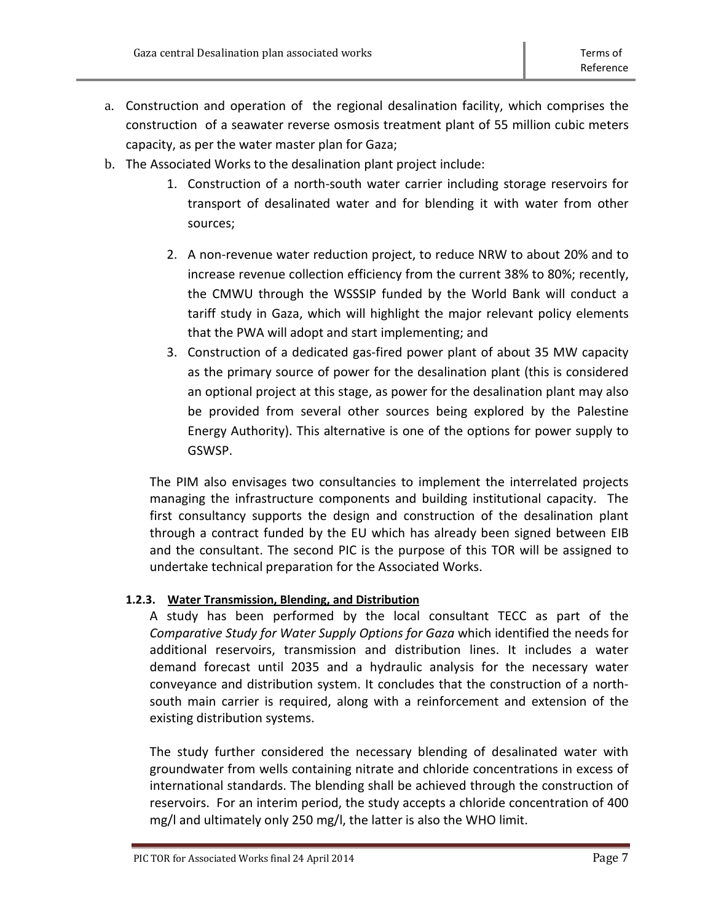- a. Construction and operation of the regional desalination facility, which comprises the construction of a seawater reverse osmosis treatment plant of 55 million cubic meters capacity, as per the water master plan for Gaza;
- b. The Associated Works to the desalination plant project include:
	- 1. Construction of a north-south water carrier including storage reservoirs for transport of desalinated water and for blending it with water from other sources;
	- 2. A non-revenue water reduction project, to reduce NRW to about 20% and to increase revenue collection efficiency from the current 38% to 80%; recently, the CMWU through the WSSSIP funded by the World Bank will conduct a tariff study in Gaza, which will highlight the major relevant policy elements that the PWA will adopt and start implementing; and
	- 3. Construction of a dedicated gas-fired power plant of about 35 MW capacity as the primary source of power for the desalination plant (this is considered an optional project at this stage, as power for the desalination plant may also be provided from several other sources being explored by the Palestine Energy Authority). This alternative is one of the options for power supply to GSWSP.

The PIM also envisages two consultancies to implement the interrelated projects managing the infrastructure components and building institutional capacity. The first consultancy supports the design and construction of the desalination plant through a contract funded by the EU which has already been signed between EIB and the consultant. The second PIC is the purpose of this TOR will be assigned to undertake technical preparation for the Associated Works.

# **1.2.3. Water Transmission, Blending, and Distribution**

A study has been performed by the local consultant TECC as part of the *Comparative Study for Water Supply Options for Gaza* which identified the needs for additional reservoirs, transmission and distribution lines. It includes a water demand forecast until 2035 and a hydraulic analysis for the necessary water conveyance and distribution system. It concludes that the construction of a northsouth main carrier is required, along with a reinforcement and extension of the existing distribution systems.

The study further considered the necessary blending of desalinated water with groundwater from wells containing nitrate and chloride concentrations in excess of international standards. The blending shall be achieved through the construction of reservoirs. For an interim period, the study accepts a chloride concentration of 400 mg/l and ultimately only 250 mg/l, the latter is also the WHO limit.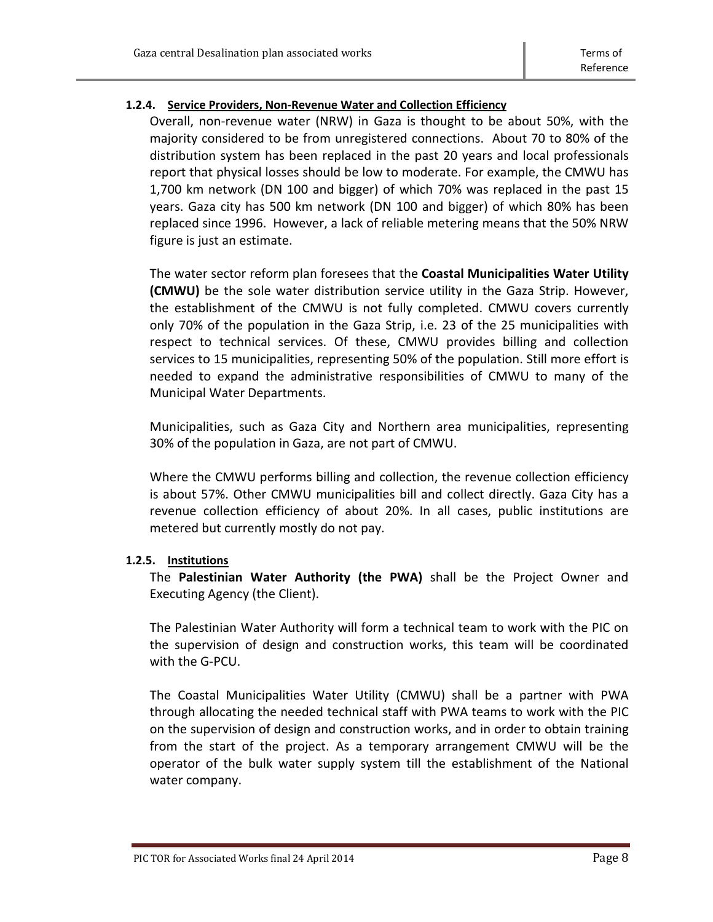# **1.2.4. Service Providers, Non-Revenue Water and Collection Efficiency**

Overall, non-revenue water (NRW) in Gaza is thought to be about 50%, with the majority considered to be from unregistered connections. About 70 to 80% of the distribution system has been replaced in the past 20 years and local professionals report that physical losses should be low to moderate. For example, the CMWU has 1,700 km network (DN 100 and bigger) of which 70% was replaced in the past 15 years. Gaza city has 500 km network (DN 100 and bigger) of which 80% has been replaced since 1996. However, a lack of reliable metering means that the 50% NRW figure is just an estimate.

The water sector reform plan foresees that the **Coastal Municipalities Water Utility (CMWU)** be the sole water distribution service utility in the Gaza Strip. However, the establishment of the CMWU is not fully completed. CMWU covers currently only 70% of the population in the Gaza Strip, i.e. 23 of the 25 municipalities with respect to technical services. Of these, CMWU provides billing and collection services to 15 municipalities, representing 50% of the population. Still more effort is needed to expand the administrative responsibilities of CMWU to many of the Municipal Water Departments.

Municipalities, such as Gaza City and Northern area municipalities, representing 30% of the population in Gaza, are not part of CMWU.

Where the CMWU performs billing and collection, the revenue collection efficiency is about 57%. Other CMWU municipalities bill and collect directly. Gaza City has a revenue collection efficiency of about 20%. In all cases, public institutions are metered but currently mostly do not pay.

# **1.2.5. Institutions**

The **Palestinian Water Authority (the PWA)** shall be the Project Owner and Executing Agency (the Client).

The Palestinian Water Authority will form a technical team to work with the PIC on the supervision of design and construction works, this team will be coordinated with the G-PCU.

The Coastal Municipalities Water Utility (CMWU) shall be a partner with PWA through allocating the needed technical staff with PWA teams to work with the PIC on the supervision of design and construction works, and in order to obtain training from the start of the project. As a temporary arrangement CMWU will be the operator of the bulk water supply system till the establishment of the National water company.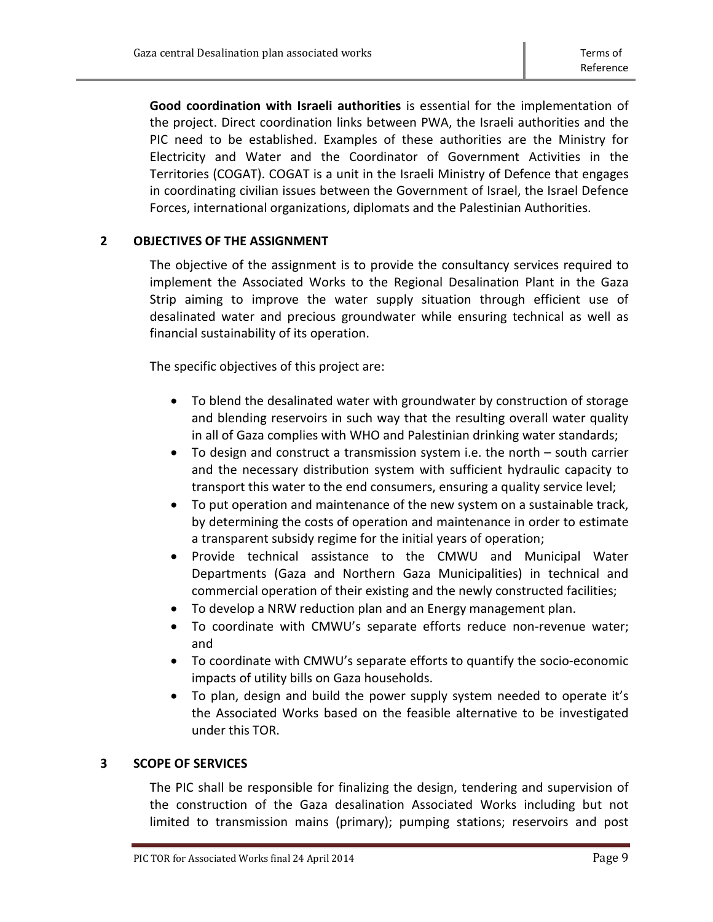**Good coordination with Israeli authorities** is essential for the implementation of the project. Direct coordination links between PWA, the Israeli authorities and the PIC need to be established. Examples of these authorities are the Ministry for Electricity and Water and the Coordinator of Government Activities in the [Territories](http://en.wikipedia.org/wiki/Palestinian_Territories) (COGAT). COGAT is a [unit](http://en.wikipedia.org/wiki/Military_unit) in the [Israeli](http://en.wikipedia.org/wiki/Israel) [Ministry of Defence](http://en.wikipedia.org/wiki/Ministry_of_Defense_%28Israel%29) that engages in coordinating civilian issues between the [Government of Israel,](http://en.wikipedia.org/wiki/Cabinet_of_Israel) the [Israel Defence](http://en.wikipedia.org/wiki/Israel_Defense_Forces)  [Forces,](http://en.wikipedia.org/wiki/Israel_Defense_Forces) [international organizations,](http://en.wikipedia.org/wiki/International_organization) diplomats and the [Palestinian Authorities.](http://en.wikipedia.org/wiki/Palestinian_Authority)

# <span id="page-8-0"></span>**2 OBJECTIVES OF THE ASSIGNMENT**

The objective of the assignment is to provide the consultancy services required to implement the Associated Works to the Regional Desalination Plant in the Gaza Strip aiming to improve the water supply situation through efficient use of desalinated water and precious groundwater while ensuring technical as well as financial sustainability of its operation.

The specific objectives of this project are:

- To blend the desalinated water with groundwater by construction of storage and blending reservoirs in such way that the resulting overall water quality in all of Gaza complies with WHO and Palestinian drinking water standards;
- To design and construct a transmission system i.e. the north south carrier and the necessary distribution system with sufficient hydraulic capacity to transport this water to the end consumers, ensuring a quality service level;
- To put operation and maintenance of the new system on a sustainable track, by determining the costs of operation and maintenance in order to estimate a transparent subsidy regime for the initial years of operation;
- Provide technical assistance to the CMWU and Municipal Water Departments (Gaza and Northern Gaza Municipalities) in technical and commercial operation of their existing and the newly constructed facilities;
- To develop a NRW reduction plan and an Energy management plan.
- To coordinate with CMWU's separate efforts reduce non-revenue water; and
- To coordinate with CMWU's separate efforts to quantify the socio-economic impacts of utility bills on Gaza households.
- To plan, design and build the power supply system needed to operate it's the Associated Works based on the feasible alternative to be investigated under this TOR.

# <span id="page-8-1"></span>**3 SCOPE OF SERVICES**

The PIC shall be responsible for finalizing the design, tendering and supervision of the construction of the Gaza desalination Associated Works including but not limited to transmission mains (primary); pumping stations; reservoirs and post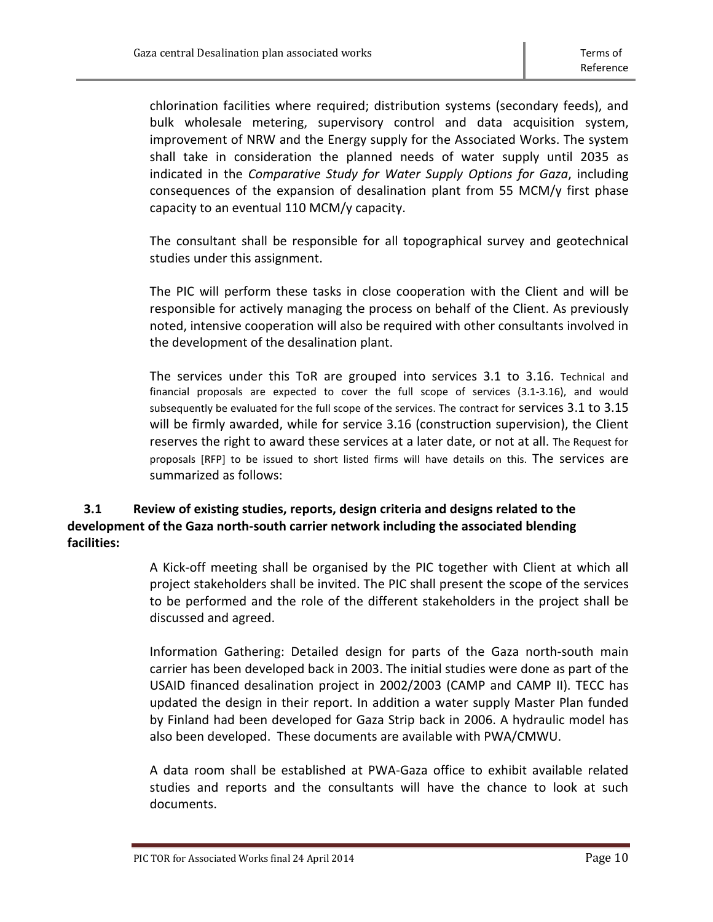chlorination facilities where required; distribution systems (secondary feeds), and bulk wholesale metering, supervisory control and data acquisition system, improvement of NRW and the Energy supply for the Associated Works. The system shall take in consideration the planned needs of water supply until 2035 as indicated in the *Comparative Study for Water Supply Options for Gaza*, including consequences of the expansion of desalination plant from 55 MCM/y first phase capacity to an eventual 110 MCM/y capacity.

The consultant shall be responsible for all topographical survey and geotechnical studies under this assignment.

The PIC will perform these tasks in close cooperation with the Client and will be responsible for actively managing the process on behalf of the Client. As previously noted, intensive cooperation will also be required with other consultants involved in the development of the desalination plant.

The services under this ToR are grouped into services 3.1 to 3.16. Technical and financial proposals are expected to cover the full scope of services (3.1-3.16), and would subsequently be evaluated for the full scope of the services. The contract for services 3.1 to 3.15 will be firmly awarded, while for service 3.16 (construction supervision), the Client reserves the right to award these services at a later date, or not at all. The Request for proposals [RFP] to be issued to short listed firms will have details on this. The services are summarized as follows:

# <span id="page-9-0"></span>**3.1 Review of existing studies, reports, design criteria and designs related to the development of the Gaza north-south carrier network including the associated blending facilities:**

A Kick-off meeting shall be organised by the PIC together with Client at which all project stakeholders shall be invited. The PIC shall present the scope of the services to be performed and the role of the different stakeholders in the project shall be discussed and agreed.

Information Gathering: Detailed design for parts of the Gaza north-south main carrier has been developed back in 2003. The initial studies were done as part of the USAID financed desalination project in 2002/2003 (CAMP and CAMP II). TECC has updated the design in their report. In addition a water supply Master Plan funded by Finland had been developed for Gaza Strip back in 2006. A hydraulic model has also been developed. These documents are available with PWA/CMWU.

A data room shall be established at PWA-Gaza office to exhibit available related studies and reports and the consultants will have the chance to look at such documents.

PIC TOR for Associated Works final 24 April 2014 **Page 10** Page 10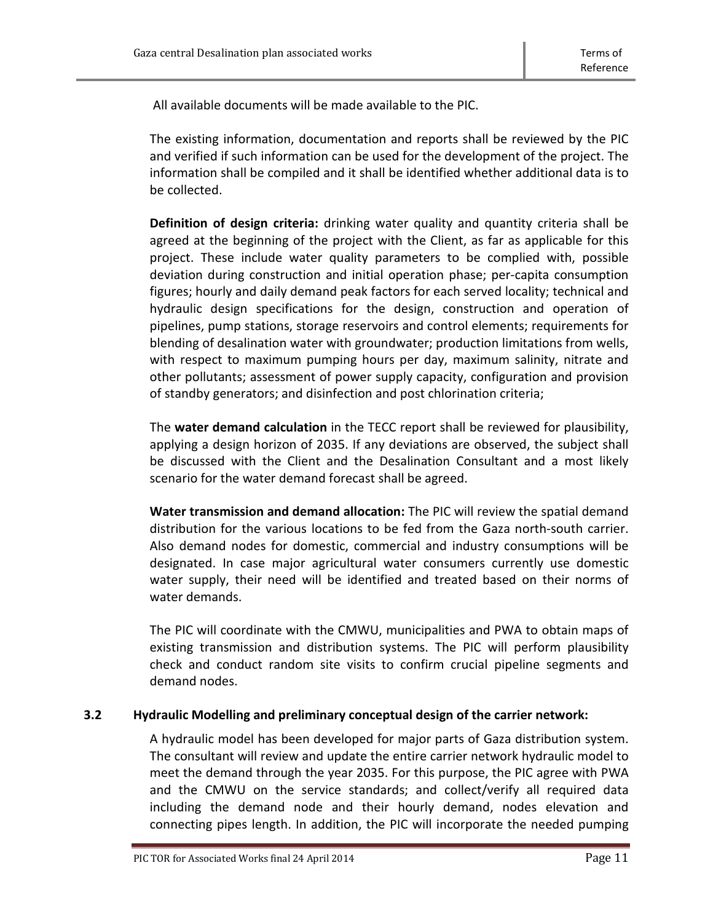All available documents will be made available to the PIC.

The existing information, documentation and reports shall be reviewed by the PIC and verified if such information can be used for the development of the project. The information shall be compiled and it shall be identified whether additional data is to be collected.

**Definition of design criteria:** drinking water quality and quantity criteria shall be agreed at the beginning of the project with the Client, as far as applicable for this project. These include water quality parameters to be complied with, possible deviation during construction and initial operation phase; per-capita consumption figures; hourly and daily demand peak factors for each served locality; technical and hydraulic design specifications for the design, construction and operation of pipelines, pump stations, storage reservoirs and control elements; requirements for blending of desalination water with groundwater; production limitations from wells, with respect to maximum pumping hours per day, maximum salinity, nitrate and other pollutants; assessment of power supply capacity, configuration and provision of standby generators; and disinfection and post chlorination criteria;

The **water demand calculation** in the TECC report shall be reviewed for plausibility, applying a design horizon of 2035. If any deviations are observed, the subject shall be discussed with the Client and the Desalination Consultant and a most likely scenario for the water demand forecast shall be agreed.

**Water transmission and demand allocation:** The PIC will review the spatial demand distribution for the various locations to be fed from the Gaza north-south carrier. Also demand nodes for domestic, commercial and industry consumptions will be designated. In case major agricultural water consumers currently use domestic water supply, their need will be identified and treated based on their norms of water demands.

The PIC will coordinate with the CMWU, municipalities and PWA to obtain maps of existing transmission and distribution systems. The PIC will perform plausibility check and conduct random site visits to confirm crucial pipeline segments and demand nodes.

# <span id="page-10-0"></span>**3.2 Hydraulic Modelling and preliminary conceptual design of the carrier network:**

A hydraulic model has been developed for major parts of Gaza distribution system. The consultant will review and update the entire carrier network hydraulic model to meet the demand through the year 2035. For this purpose, the PIC agree with PWA and the CMWU on the service standards; and collect/verify all required data including the demand node and their hourly demand, nodes elevation and connecting pipes length. In addition, the PIC will incorporate the needed pumping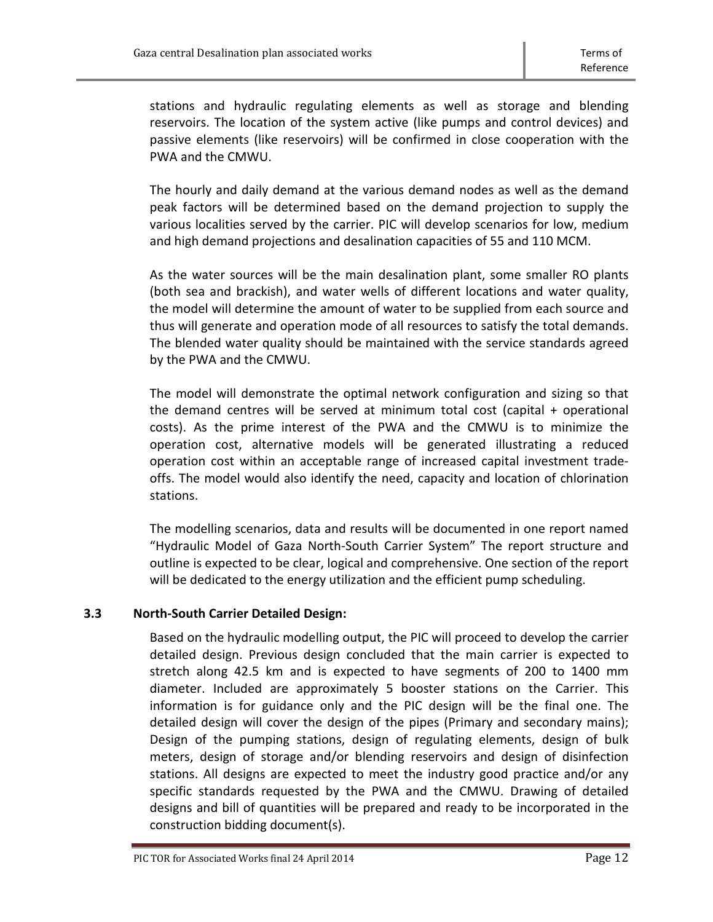stations and hydraulic regulating elements as well as storage and blending reservoirs. The location of the system active (like pumps and control devices) and passive elements (like reservoirs) will be confirmed in close cooperation with the PWA and the CMWU.

The hourly and daily demand at the various demand nodes as well as the demand peak factors will be determined based on the demand projection to supply the various localities served by the carrier. PIC will develop scenarios for low, medium and high demand projections and desalination capacities of 55 and 110 MCM.

As the water sources will be the main desalination plant, some smaller RO plants (both sea and brackish), and water wells of different locations and water quality, the model will determine the amount of water to be supplied from each source and thus will generate and operation mode of all resources to satisfy the total demands. The blended water quality should be maintained with the service standards agreed by the PWA and the CMWU.

The model will demonstrate the optimal network configuration and sizing so that the demand centres will be served at minimum total cost (capital + operational costs). As the prime interest of the PWA and the CMWU is to minimize the operation cost, alternative models will be generated illustrating a reduced operation cost within an acceptable range of increased capital investment tradeoffs. The model would also identify the need, capacity and location of chlorination stations.

The modelling scenarios, data and results will be documented in one report named "Hydraulic Model of Gaza North-South Carrier System" The report structure and outline is expected to be clear, logical and comprehensive. One section of the report will be dedicated to the energy utilization and the efficient pump scheduling.

# <span id="page-11-0"></span>**3.3 North-South Carrier Detailed Design:**

Based on the hydraulic modelling output, the PIC will proceed to develop the carrier detailed design. Previous design concluded that the main carrier is expected to stretch along 42.5 km and is expected to have segments of 200 to 1400 mm diameter. Included are approximately 5 booster stations on the Carrier. This information is for guidance only and the PIC design will be the final one. The detailed design will cover the design of the pipes (Primary and secondary mains); Design of the pumping stations, design of regulating elements, design of bulk meters, design of storage and/or blending reservoirs and design of disinfection stations. All designs are expected to meet the industry good practice and/or any specific standards requested by the PWA and the CMWU. Drawing of detailed designs and bill of quantities will be prepared and ready to be incorporated in the construction bidding document(s).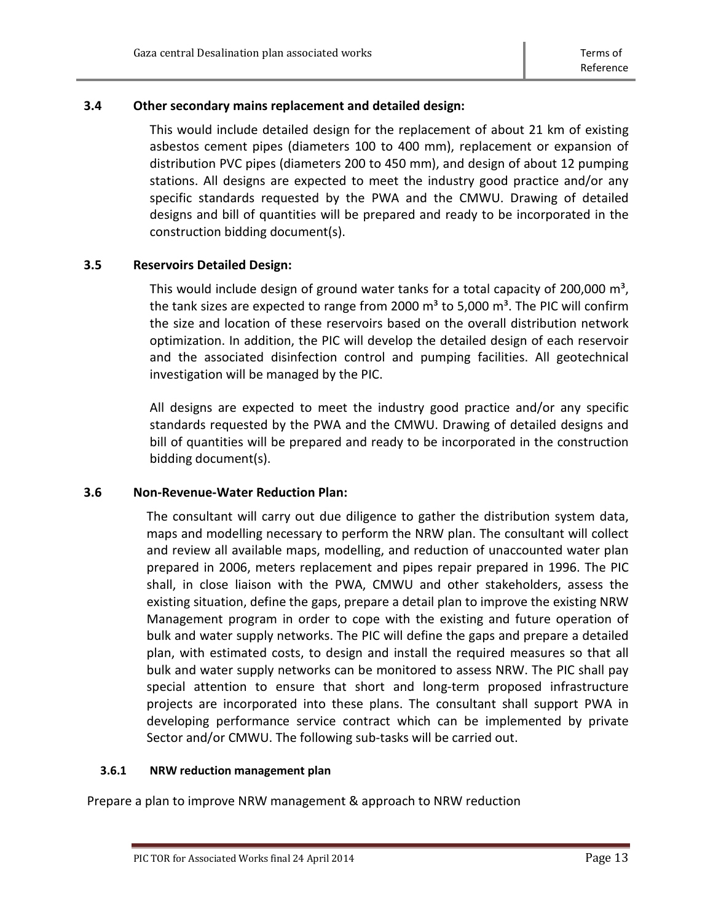# <span id="page-12-0"></span>**3.4 Other secondary mains replacement and detailed design:**

This would include detailed design for the replacement of about 21 km of existing asbestos cement pipes (diameters 100 to 400 mm), replacement or expansion of distribution PVC pipes (diameters 200 to 450 mm), and design of about 12 pumping stations. All designs are expected to meet the industry good practice and/or any specific standards requested by the PWA and the CMWU. Drawing of detailed designs and bill of quantities will be prepared and ready to be incorporated in the construction bidding document(s).

# <span id="page-12-1"></span>**3.5 Reservoirs Detailed Design:**

This would include design of ground water tanks for a total capacity of 200,000  $\text{m}^3$ , the tank sizes are expected to range from 2000  $m<sup>3</sup>$  to 5,000  $m<sup>3</sup>$ . The PIC will confirm the size and location of these reservoirs based on the overall distribution network optimization. In addition, the PIC will develop the detailed design of each reservoir and the associated disinfection control and pumping facilities. All geotechnical investigation will be managed by the PIC.

All designs are expected to meet the industry good practice and/or any specific standards requested by the PWA and the CMWU. Drawing of detailed designs and bill of quantities will be prepared and ready to be incorporated in the construction bidding document(s).

# <span id="page-12-2"></span>**3.6 Non-Revenue-Water Reduction Plan:**

The consultant will carry out due diligence to gather the distribution system data, maps and modelling necessary to perform the NRW plan. The consultant will collect and review all available maps, modelling, and reduction of unaccounted water plan prepared in 2006, meters replacement and pipes repair prepared in 1996. The PIC shall, in close liaison with the PWA, CMWU and other stakeholders, assess the existing situation, define the gaps, prepare a detail plan to improve the existing NRW Management program in order to cope with the existing and future operation of bulk and water supply networks. The PIC will define the gaps and prepare a detailed plan, with estimated costs, to design and install the required measures so that all bulk and water supply networks can be monitored to assess NRW. The PIC shall pay special attention to ensure that short and long-term proposed infrastructure projects are incorporated into these plans. The consultant shall support PWA in developing performance service contract which can be implemented by private Sector and/or CMWU. The following sub-tasks will be carried out.

# <span id="page-12-3"></span>**3.6.1 NRW reduction management plan**

Prepare a plan to improve NRW management & approach to NRW reduction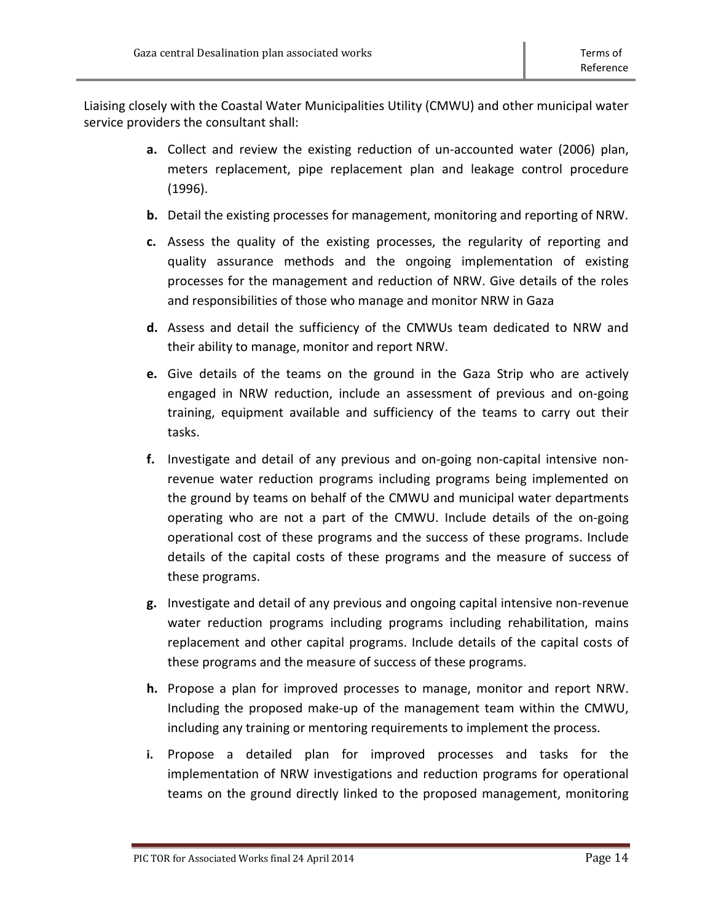Liaising closely with the Coastal Water Municipalities Utility (CMWU) and other municipal water service providers the consultant shall:

- **a.** Collect and review the existing reduction of un-accounted water (2006) plan, meters replacement, pipe replacement plan and leakage control procedure (1996).
- **b.** Detail the existing processes for management, monitoring and reporting of NRW.
- **c.** Assess the quality of the existing processes, the regularity of reporting and quality assurance methods and the ongoing implementation of existing processes for the management and reduction of NRW. Give details of the roles and responsibilities of those who manage and monitor NRW in Gaza
- **d.** Assess and detail the sufficiency of the CMWUs team dedicated to NRW and their ability to manage, monitor and report NRW.
- **e.** Give details of the teams on the ground in the Gaza Strip who are actively engaged in NRW reduction, include an assessment of previous and on-going training, equipment available and sufficiency of the teams to carry out their tasks.
- **f.** Investigate and detail of any previous and on-going non-capital intensive nonrevenue water reduction programs including programs being implemented on the ground by teams on behalf of the CMWU and municipal water departments operating who are not a part of the CMWU. Include details of the on-going operational cost of these programs and the success of these programs. Include details of the capital costs of these programs and the measure of success of these programs.
- **g.** Investigate and detail of any previous and ongoing capital intensive non-revenue water reduction programs including programs including rehabilitation, mains replacement and other capital programs. Include details of the capital costs of these programs and the measure of success of these programs.
- **h.** Propose a plan for improved processes to manage, monitor and report NRW. Including the proposed make-up of the management team within the CMWU, including any training or mentoring requirements to implement the process.
- **i.** Propose a detailed plan for improved processes and tasks for the implementation of NRW investigations and reduction programs for operational teams on the ground directly linked to the proposed management, monitoring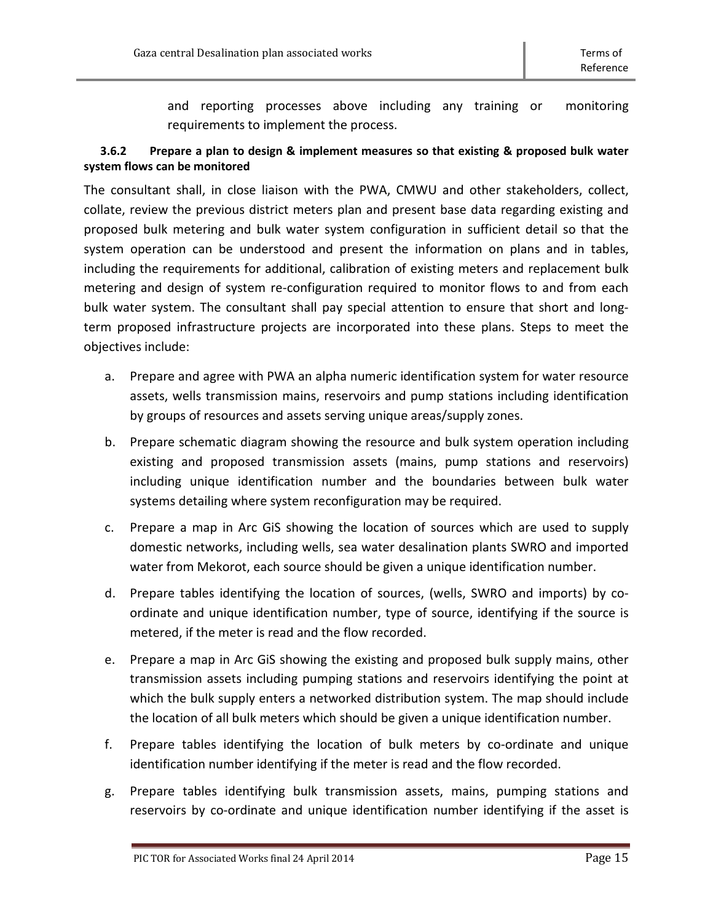and reporting processes above including any training or monitoring requirements to implement the process.

# <span id="page-14-0"></span>**3.6.2 Prepare a plan to design & implement measures so that existing & proposed bulk water system flows can be monitored**

The consultant shall, in close liaison with the PWA, CMWU and other stakeholders, collect, collate, review the previous district meters plan and present base data regarding existing and proposed bulk metering and bulk water system configuration in sufficient detail so that the system operation can be understood and present the information on plans and in tables, including the requirements for additional, calibration of existing meters and replacement bulk metering and design of system re-configuration required to monitor flows to and from each bulk water system. The consultant shall pay special attention to ensure that short and longterm proposed infrastructure projects are incorporated into these plans. Steps to meet the objectives include:

- a. Prepare and agree with PWA an alpha numeric identification system for water resource assets, wells transmission mains, reservoirs and pump stations including identification by groups of resources and assets serving unique areas/supply zones.
- b. Prepare schematic diagram showing the resource and bulk system operation including existing and proposed transmission assets (mains, pump stations and reservoirs) including unique identification number and the boundaries between bulk water systems detailing where system reconfiguration may be required.
- c. Prepare a map in Arc GiS showing the location of sources which are used to supply domestic networks, including wells, sea water desalination plants SWRO and imported water from Mekorot, each source should be given a unique identification number.
- d. Prepare tables identifying the location of sources, (wells, SWRO and imports) by coordinate and unique identification number, type of source, identifying if the source is metered, if the meter is read and the flow recorded.
- e. Prepare a map in Arc GiS showing the existing and proposed bulk supply mains, other transmission assets including pumping stations and reservoirs identifying the point at which the bulk supply enters a networked distribution system. The map should include the location of all bulk meters which should be given a unique identification number.
- f. Prepare tables identifying the location of bulk meters by co-ordinate and unique identification number identifying if the meter is read and the flow recorded.
- g. Prepare tables identifying bulk transmission assets, mains, pumping stations and reservoirs by co-ordinate and unique identification number identifying if the asset is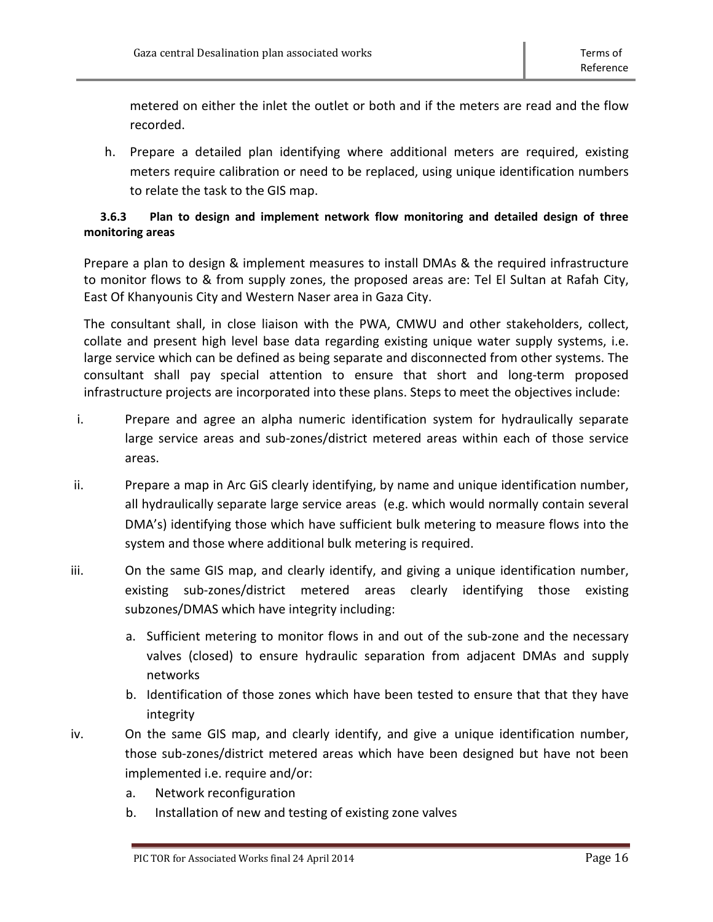metered on either the inlet the outlet or both and if the meters are read and the flow recorded.

h. Prepare a detailed plan identifying where additional meters are required, existing meters require calibration or need to be replaced, using unique identification numbers to relate the task to the GIS map.

# <span id="page-15-0"></span>**3.6.3 Plan to design and implement network flow monitoring and detailed design of three monitoring areas**

Prepare a plan to design & implement measures to install DMAs & the required infrastructure to monitor flows to & from supply zones, the proposed areas are: Tel El Sultan at Rafah City, East Of Khanyounis City and Western Naser area in Gaza City.

The consultant shall, in close liaison with the PWA, CMWU and other stakeholders, collect, collate and present high level base data regarding existing unique water supply systems, i.e. large service which can be defined as being separate and disconnected from other systems. The consultant shall pay special attention to ensure that short and long-term proposed infrastructure projects are incorporated into these plans. Steps to meet the objectives include:

- i. Prepare and agree an alpha numeric identification system for hydraulically separate large service areas and sub-zones/district metered areas within each of those service areas.
- ii. Prepare a map in Arc GiS clearly identifying, by name and unique identification number, all hydraulically separate large service areas (e.g. which would normally contain several DMA's) identifying those which have sufficient bulk metering to measure flows into the system and those where additional bulk metering is required.
- iii. On the same GIS map, and clearly identify, and giving a unique identification number, existing sub-zones/district metered areas clearly identifying those existing subzones/DMAS which have integrity including:
	- a. Sufficient metering to monitor flows in and out of the sub-zone and the necessary valves (closed) to ensure hydraulic separation from adjacent DMAs and supply networks
	- b. Identification of those zones which have been tested to ensure that that they have integrity
- iv. On the same GIS map, and clearly identify, and give a unique identification number, those sub-zones/district metered areas which have been designed but have not been implemented i.e. require and/or:
	- a. Network reconfiguration
	- b. Installation of new and testing of existing zone valves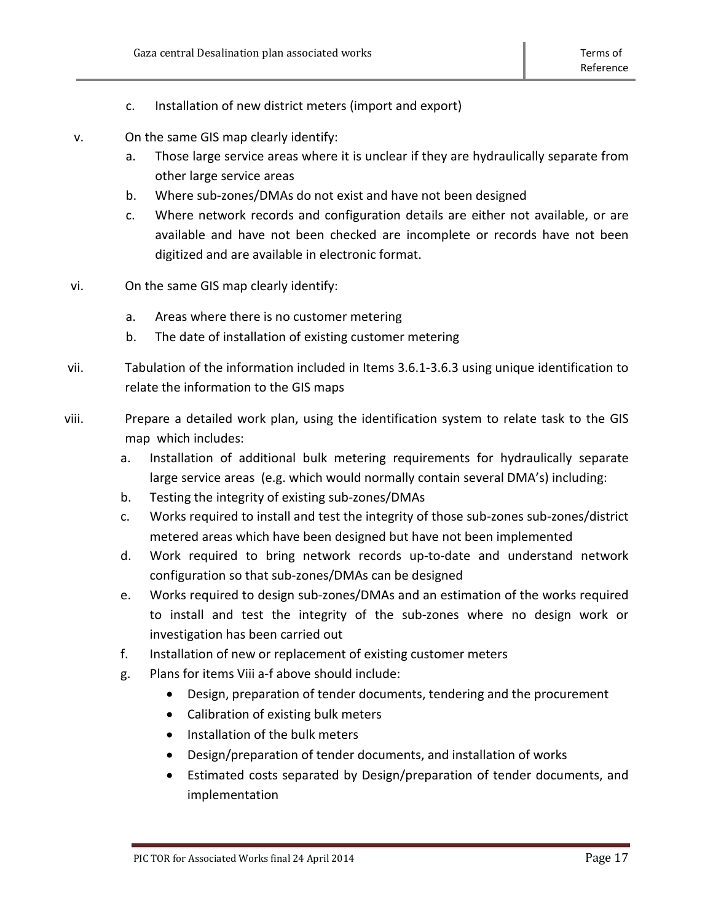- c. Installation of new district meters (import and export)
- v. On the same GIS map clearly identify:
	- a. Those large service areas where it is unclear if they are hydraulically separate from other large service areas
	- b. Where sub-zones/DMAs do not exist and have not been designed
	- c. Where network records and configuration details are either not available, or are available and have not been checked are incomplete or records have not been digitized and are available in electronic format.
- vi. On the same GIS map clearly identify:
	- a. Areas where there is no customer metering
	- b. The date of installation of existing customer metering
- vii. Tabulation of the information included in Items 3.6.1-3.6.3 using unique identification to relate the information to the GIS maps
- viii. Prepare a detailed work plan, using the identification system to relate task to the GIS map which includes:
	- a. Installation of additional bulk metering requirements for hydraulically separate large service areas (e.g. which would normally contain several DMA's) including:
	- b. Testing the integrity of existing sub-zones/DMAs
	- c. Works required to install and test the integrity of those sub-zones sub-zones/district metered areas which have been designed but have not been implemented
	- d. Work required to bring network records up-to-date and understand network configuration so that sub-zones/DMAs can be designed
	- e. Works required to design sub-zones/DMAs and an estimation of the works required to install and test the integrity of the sub-zones where no design work or investigation has been carried out
	- f. Installation of new or replacement of existing customer meters
	- g. Plans for items Viii a-f above should include:
		- Design, preparation of tender documents, tendering and the procurement
		- Calibration of existing bulk meters
		- Installation of the bulk meters
		- Design/preparation of tender documents, and installation of works
		- Estimated costs separated by Design/preparation of tender documents, and implementation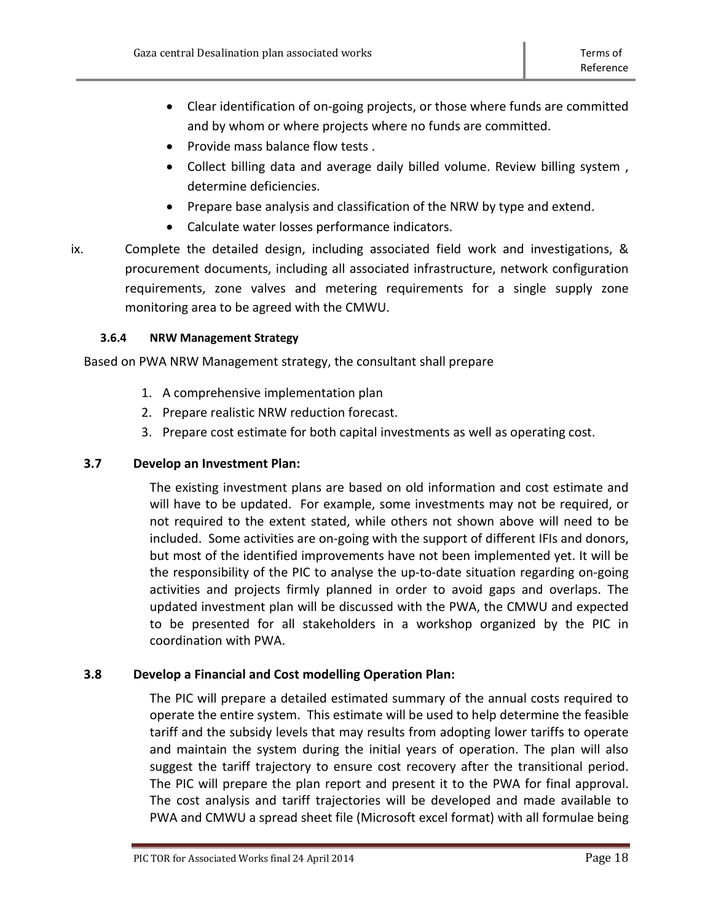- Clear identification of on-going projects, or those where funds are committed and by whom or where projects where no funds are committed.
- Provide mass balance flow tests .
- Collect billing data and average daily billed volume. Review billing system , determine deficiencies.
- Prepare base analysis and classification of the NRW by type and extend.
- Calculate water losses performance indicators.
- ix. Complete the detailed design, including associated field work and investigations, & procurement documents, including all associated infrastructure, network configuration requirements, zone valves and metering requirements for a single supply zone monitoring area to be agreed with the CMWU.

# <span id="page-17-0"></span>**3.6.4 NRW Management Strategy**

Based on PWA NRW Management strategy, the consultant shall prepare

- 1. A comprehensive implementation plan
- 2. Prepare realistic NRW reduction forecast.
- 3. Prepare cost estimate for both capital investments as well as operating cost.

# <span id="page-17-1"></span>**3.7 Develop an Investment Plan:**

The existing investment plans are based on old information and cost estimate and will have to be updated. For example, some investments may not be required, or not required to the extent stated, while others not shown above will need to be included. Some activities are on-going with the support of different IFIs and donors, but most of the identified improvements have not been implemented yet. It will be the responsibility of the PIC to analyse the up-to-date situation regarding on-going activities and projects firmly planned in order to avoid gaps and overlaps. The updated investment plan will be discussed with the PWA, the CMWU and expected to be presented for all stakeholders in a workshop organized by the PIC in coordination with PWA.

# <span id="page-17-2"></span>**3.8 Develop a Financial and Cost modelling Operation Plan:**

The PIC will prepare a detailed estimated summary of the annual costs required to operate the entire system. This estimate will be used to help determine the feasible tariff and the subsidy levels that may results from adopting lower tariffs to operate and maintain the system during the initial years of operation. The plan will also suggest the tariff trajectory to ensure cost recovery after the transitional period. The PIC will prepare the plan report and present it to the PWA for final approval. The cost analysis and tariff trajectories will be developed and made available to PWA and CMWU a spread sheet file (Microsoft excel format) with all formulae being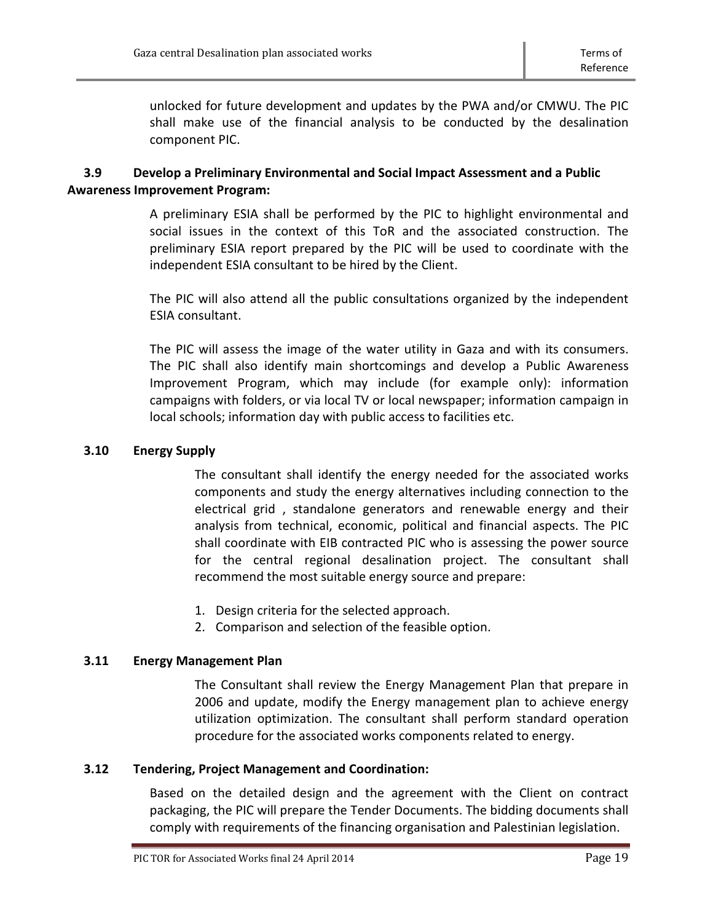unlocked for future development and updates by the PWA and/or CMWU. The PIC shall make use of the financial analysis to be conducted by the desalination component PIC.

# <span id="page-18-0"></span>**3.9 Develop a Preliminary Environmental and Social Impact Assessment and a Public Awareness Improvement Program:**

A preliminary ESIA shall be performed by the PIC to highlight environmental and social issues in the context of this ToR and the associated construction. The preliminary ESIA report prepared by the PIC will be used to coordinate with the independent ESIA consultant to be hired by the Client.

The PIC will also attend all the public consultations organized by the independent ESIA consultant.

The PIC will assess the image of the water utility in Gaza and with its consumers. The PIC shall also identify main shortcomings and develop a Public Awareness Improvement Program, which may include (for example only): information campaigns with folders, or via local TV or local newspaper; information campaign in local schools; information day with public access to facilities etc.

# <span id="page-18-1"></span>**3.10 Energy Supply**

The consultant shall identify the energy needed for the associated works components and study the energy alternatives including connection to the electrical grid , standalone generators and renewable energy and their analysis from technical, economic, political and financial aspects. The PIC shall coordinate with EIB contracted PIC who is assessing the power source for the central regional desalination project. The consultant shall recommend the most suitable energy source and prepare:

- 1. Design criteria for the selected approach.
- 2. Comparison and selection of the feasible option.

# <span id="page-18-2"></span>**3.11 Energy Management Plan**

The Consultant shall review the Energy Management Plan that prepare in 2006 and update, modify the Energy management plan to achieve energy utilization optimization. The consultant shall perform standard operation procedure for the associated works components related to energy.

# <span id="page-18-3"></span>**3.12 Tendering, Project Management and Coordination:**

Based on the detailed design and the agreement with the Client on contract packaging, the PIC will prepare the Tender Documents. The bidding documents shall comply with requirements of the financing organisation and Palestinian legislation.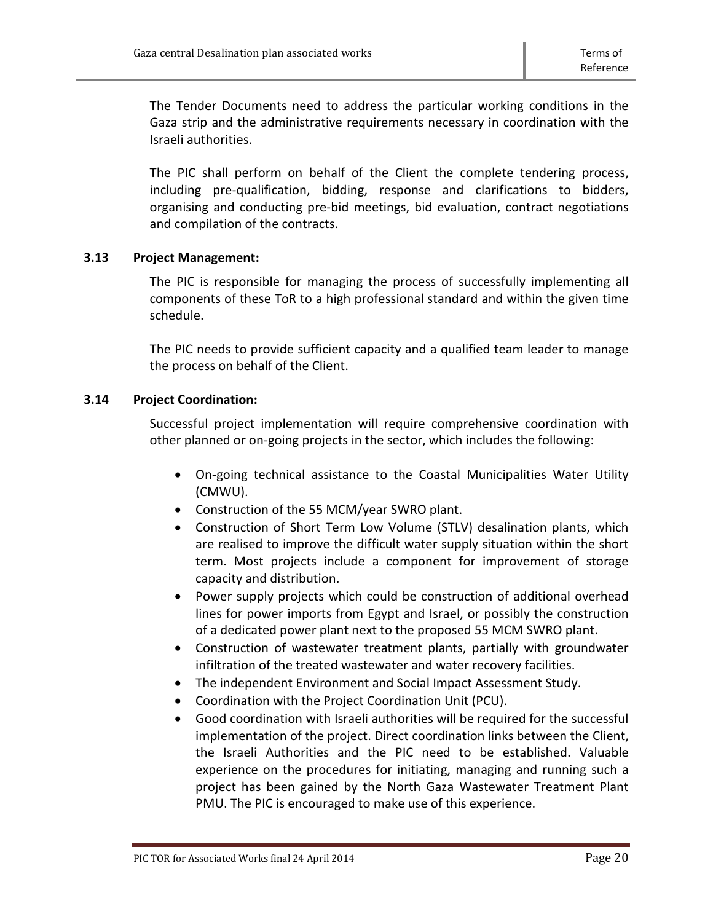The Tender Documents need to address the particular working conditions in the Gaza strip and the administrative requirements necessary in coordination with the Israeli authorities.

The PIC shall perform on behalf of the Client the complete tendering process, including pre-qualification, bidding, response and clarifications to bidders, organising and conducting pre-bid meetings, bid evaluation, contract negotiations and compilation of the contracts.

# <span id="page-19-0"></span>**3.13 Project Management:**

The PIC is responsible for managing the process of successfully implementing all components of these ToR to a high professional standard and within the given time schedule.

The PIC needs to provide sufficient capacity and a qualified team leader to manage the process on behalf of the Client.

# <span id="page-19-1"></span>**3.14 Project Coordination:**

Successful project implementation will require comprehensive coordination with other planned or on-going projects in the sector, which includes the following:

- On-going technical assistance to the Coastal Municipalities Water Utility (CMWU).
- Construction of the 55 MCM/year SWRO plant.
- Construction of Short Term Low Volume (STLV) desalination plants, which are realised to improve the difficult water supply situation within the short term. Most projects include a component for improvement of storage capacity and distribution.
- Power supply projects which could be construction of additional overhead lines for power imports from Egypt and Israel, or possibly the construction of a dedicated power plant next to the proposed 55 MCM SWRO plant.
- Construction of wastewater treatment plants, partially with groundwater infiltration of the treated wastewater and water recovery facilities.
- The independent Environment and Social Impact Assessment Study.
- Coordination with the Project Coordination Unit (PCU).
- Good coordination with Israeli authorities will be required for the successful implementation of the project. Direct coordination links between the Client, the Israeli Authorities and the PIC need to be established. Valuable experience on the procedures for initiating, managing and running such a project has been gained by the North Gaza Wastewater Treatment Plant PMU. The PIC is encouraged to make use of this experience.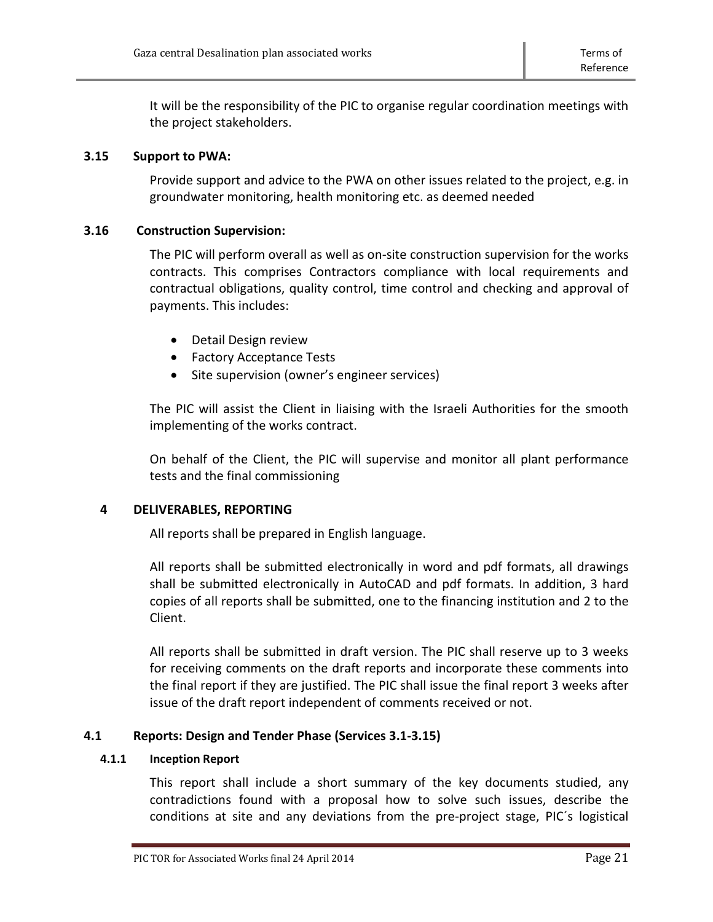It will be the responsibility of the PIC to organise regular coordination meetings with the project stakeholders.

# <span id="page-20-0"></span>**3.15 Support to PWA:**

Provide support and advice to the PWA on other issues related to the project, e.g. in groundwater monitoring, health monitoring etc. as deemed needed

# **3.16 Construction Supervision:**

<span id="page-20-1"></span>The PIC will perform overall as well as on-site construction supervision for the works contracts. This comprises Contractors compliance with local requirements and contractual obligations, quality control, time control and checking and approval of payments. This includes:

- Detail Design review
- Factory Acceptance Tests
- Site supervision (owner's engineer services)

The PIC will assist the Client in liaising with the Israeli Authorities for the smooth implementing of the works contract.

On behalf of the Client, the PIC will supervise and monitor all plant performance tests and the final commissioning

# <span id="page-20-2"></span>**4 DELIVERABLES, REPORTING**

All reports shall be prepared in English language.

All reports shall be submitted electronically in word and pdf formats, all drawings shall be submitted electronically in AutoCAD and pdf formats. In addition, 3 hard copies of all reports shall be submitted, one to the financing institution and 2 to the Client.

All reports shall be submitted in draft version. The PIC shall reserve up to 3 weeks for receiving comments on the draft reports and incorporate these comments into the final report if they are justified. The PIC shall issue the final report 3 weeks after issue of the draft report independent of comments received or not.

# <span id="page-20-3"></span>**4.1 Reports: Design and Tender Phase (Services 3.1-3.15)**

# <span id="page-20-4"></span>**4.1.1 Inception Report**

This report shall include a short summary of the key documents studied, any contradictions found with a proposal how to solve such issues, describe the conditions at site and any deviations from the pre-project stage, PIC´s logistical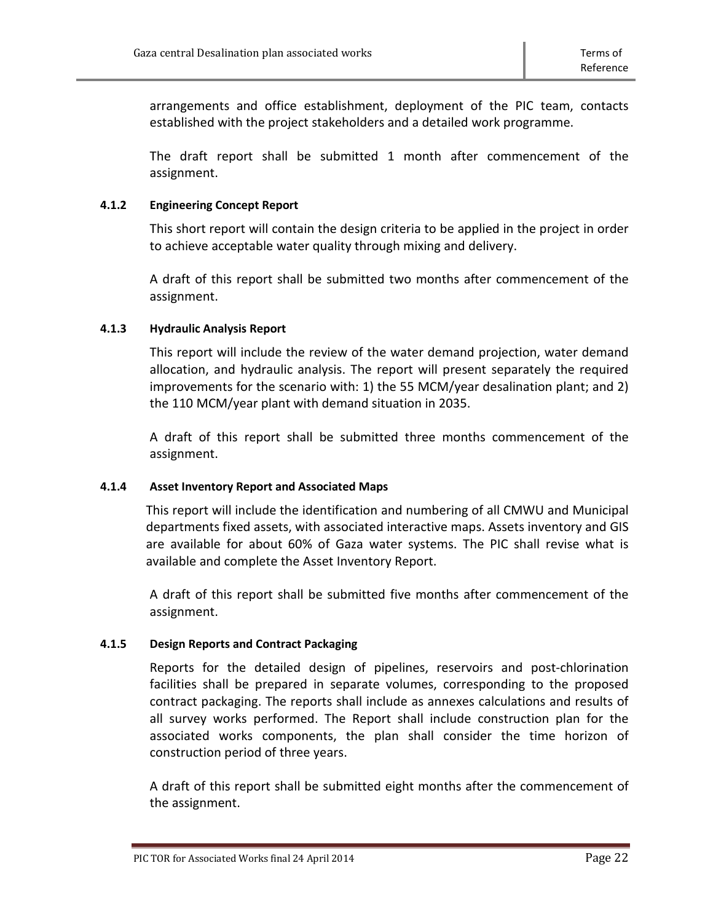arrangements and office establishment, deployment of the PIC team, contacts established with the project stakeholders and a detailed work programme.

The draft report shall be submitted 1 month after commencement of the assignment.

# <span id="page-21-0"></span>**4.1.2 Engineering Concept Report**

This short report will contain the design criteria to be applied in the project in order to achieve acceptable water quality through mixing and delivery.

A draft of this report shall be submitted two months after commencement of the assignment.

# <span id="page-21-1"></span>**4.1.3 Hydraulic Analysis Report**

This report will include the review of the water demand projection, water demand allocation, and hydraulic analysis. The report will present separately the required improvements for the scenario with: 1) the 55 MCM/year desalination plant; and 2) the 110 MCM/year plant with demand situation in 2035.

A draft of this report shall be submitted three months commencement of the assignment.

# <span id="page-21-2"></span>**4.1.4 Asset Inventory Report and Associated Maps**

This report will include the identification and numbering of all CMWU and Municipal departments fixed assets, with associated interactive maps. Assets inventory and GIS are available for about 60% of Gaza water systems. The PIC shall revise what is available and complete the Asset Inventory Report.

A draft of this report shall be submitted five months after commencement of the assignment.

# <span id="page-21-3"></span>**4.1.5 Design Reports and Contract Packaging**

Reports for the detailed design of pipelines, reservoirs and post-chlorination facilities shall be prepared in separate volumes, corresponding to the proposed contract packaging. The reports shall include as annexes calculations and results of all survey works performed. The Report shall include construction plan for the associated works components, the plan shall consider the time horizon of construction period of three years.

A draft of this report shall be submitted eight months after the commencement of the assignment.

PIC TOR for Associated Works final 24 April 2014 **Page 22** Page 22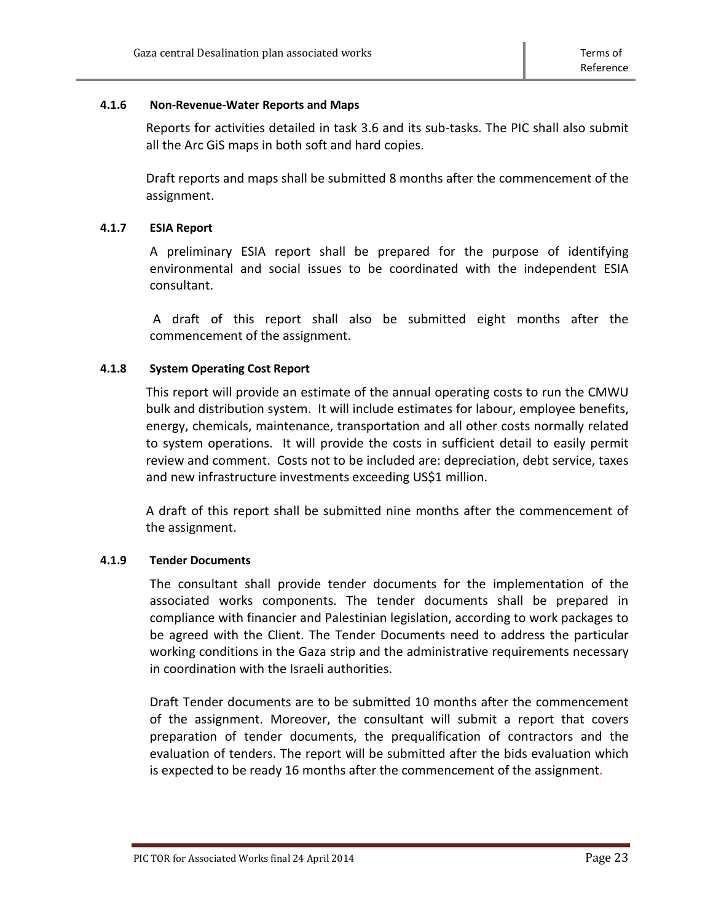#### <span id="page-22-0"></span>**4.1.6 Non-Revenue-Water Reports and Maps**

Reports for activities detailed in task 3.6 and its sub-tasks. The PIC shall also submit all the Arc GiS maps in both soft and hard copies.

Draft reports and maps shall be submitted 8 months after the commencement of the assignment.

# <span id="page-22-1"></span>**4.1.7 ESIA Report**

A preliminary ESIA report shall be prepared for the purpose of identifying environmental and social issues to be coordinated with the independent ESIA consultant.

A draft of this report shall also be submitted eight months after the commencement of the assignment.

# <span id="page-22-2"></span>**4.1.8 System Operating Cost Report**

This report will provide an estimate of the annual operating costs to run the CMWU bulk and distribution system. It will include estimates for labour, employee benefits, energy, chemicals, maintenance, transportation and all other costs normally related to system operations. It will provide the costs in sufficient detail to easily permit review and comment. Costs not to be included are: depreciation, debt service, taxes and new infrastructure investments exceeding US\$1 million.

A draft of this report shall be submitted nine months after the commencement of the assignment.

#### <span id="page-22-3"></span>**4.1.9 Tender Documents**

The consultant shall provide tender documents for the implementation of the associated works components. The tender documents shall be prepared in compliance with financier and Palestinian legislation, according to work packages to be agreed with the Client. The Tender Documents need to address the particular working conditions in the Gaza strip and the administrative requirements necessary in coordination with the Israeli authorities.

Draft Tender documents are to be submitted 10 months after the commencement of the assignment. Moreover, the consultant will submit a report that covers preparation of tender documents, the prequalification of contractors and the evaluation of tenders. The report will be submitted after the bids evaluation which is expected to be ready 16 months after the commencement of the assignment.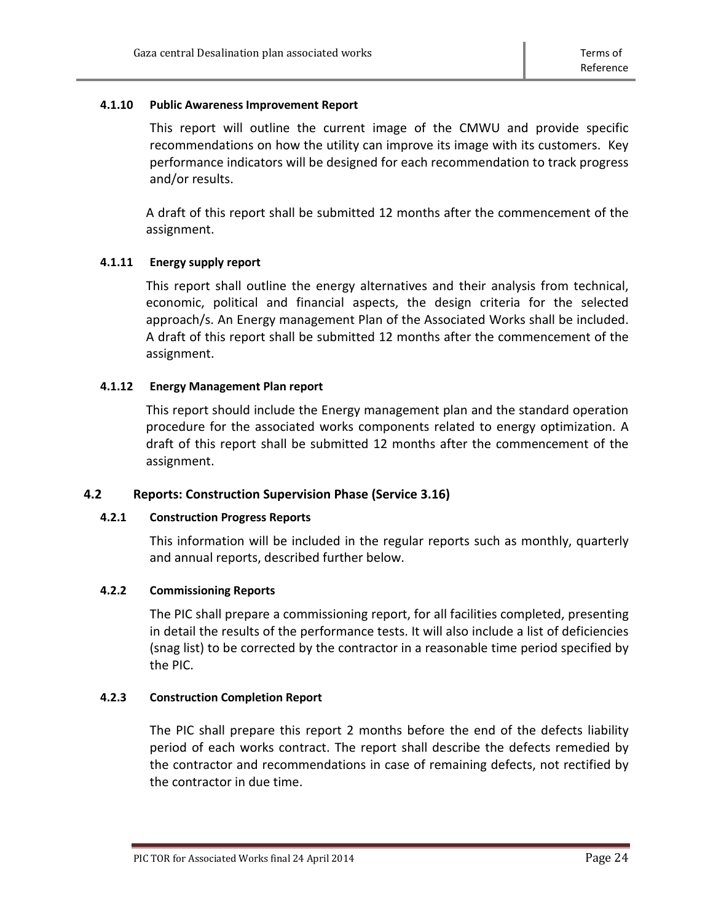#### <span id="page-23-0"></span>**4.1.10 Public Awareness Improvement Report**

This report will outline the current image of the CMWU and provide specific recommendations on how the utility can improve its image with its customers. Key performance indicators will be designed for each recommendation to track progress and/or results.

A draft of this report shall be submitted 12 months after the commencement of the assignment.

# <span id="page-23-1"></span>**4.1.11 Energy supply report**

This report shall outline the energy alternatives and their analysis from technical, economic, political and financial aspects, the design criteria for the selected approach/s. An Energy management Plan of the Associated Works shall be included. A draft of this report shall be submitted 12 months after the commencement of the assignment.

# <span id="page-23-2"></span>**4.1.12 Energy Management Plan report**

This report should include the Energy management plan and the standard operation procedure for the associated works components related to energy optimization. A draft of this report shall be submitted 12 months after the commencement of the assignment.

# <span id="page-23-3"></span>**4.2 Reports: Construction Supervision Phase (Service 3.16)**

#### <span id="page-23-4"></span>**4.2.1 Construction Progress Reports**

This information will be included in the regular reports such as monthly, quarterly and annual reports, described further below.

#### <span id="page-23-5"></span>**4.2.2 Commissioning Reports**

The PIC shall prepare a commissioning report, for all facilities completed, presenting in detail the results of the performance tests. It will also include a list of deficiencies (snag list) to be corrected by the contractor in a reasonable time period specified by the PIC.

#### <span id="page-23-6"></span>**4.2.3 Construction Completion Report**

The PIC shall prepare this report 2 months before the end of the defects liability period of each works contract. The report shall describe the defects remedied by the contractor and recommendations in case of remaining defects, not rectified by the contractor in due time.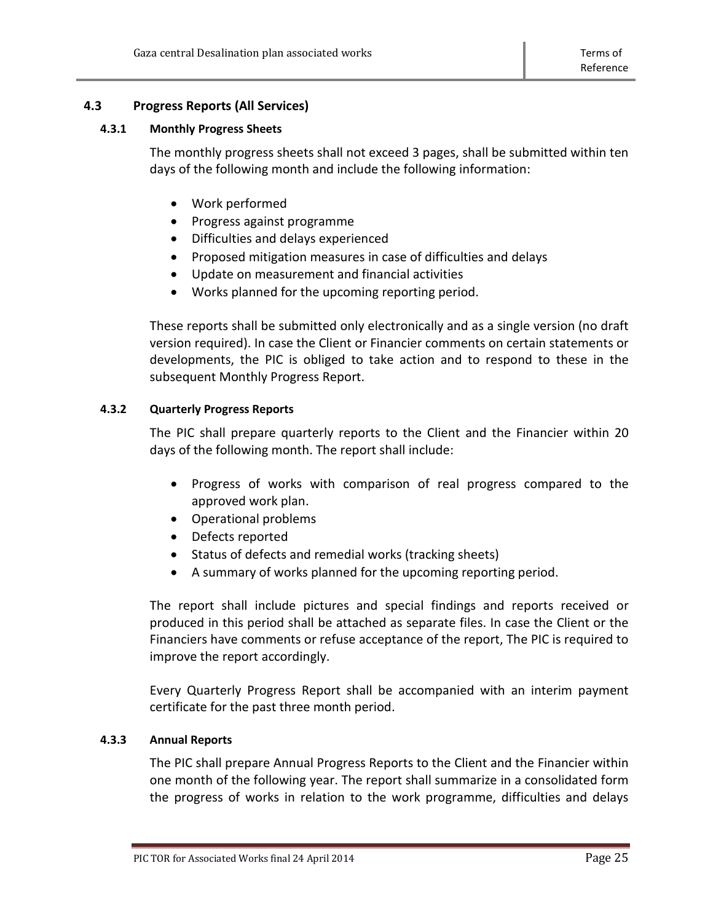# <span id="page-24-0"></span>**4.3 Progress Reports (All Services)**

#### <span id="page-24-1"></span>**4.3.1 Monthly Progress Sheets**

The monthly progress sheets shall not exceed 3 pages, shall be submitted within ten days of the following month and include the following information:

- Work performed
- Progress against programme
- Difficulties and delays experienced
- Proposed mitigation measures in case of difficulties and delays
- Update on measurement and financial activities
- Works planned for the upcoming reporting period.

These reports shall be submitted only electronically and as a single version (no draft version required). In case the Client or Financier comments on certain statements or developments, the PIC is obliged to take action and to respond to these in the subsequent Monthly Progress Report.

# <span id="page-24-2"></span>**4.3.2 Quarterly Progress Reports**

The PIC shall prepare quarterly reports to the Client and the Financier within 20 days of the following month. The report shall include:

- Progress of works with comparison of real progress compared to the approved work plan.
- Operational problems
- Defects reported
- Status of defects and remedial works (tracking sheets)
- A summary of works planned for the upcoming reporting period.

The report shall include pictures and special findings and reports received or produced in this period shall be attached as separate files. In case the Client or the Financiers have comments or refuse acceptance of the report, The PIC is required to improve the report accordingly.

Every Quarterly Progress Report shall be accompanied with an interim payment certificate for the past three month period.

# <span id="page-24-3"></span>**4.3.3 Annual Reports**

The PIC shall prepare Annual Progress Reports to the Client and the Financier within one month of the following year. The report shall summarize in a consolidated form the progress of works in relation to the work programme, difficulties and delays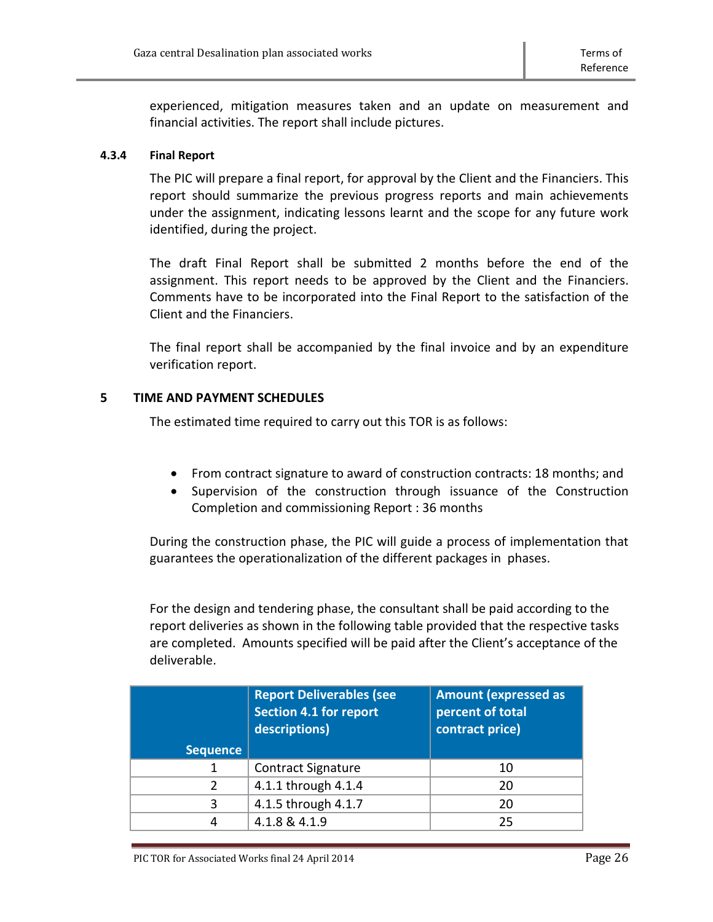experienced, mitigation measures taken and an update on measurement and financial activities. The report shall include pictures.

# <span id="page-25-0"></span>**4.3.4 Final Report**

The PIC will prepare a final report, for approval by the Client and the Financiers. This report should summarize the previous progress reports and main achievements under the assignment, indicating lessons learnt and the scope for any future work identified, during the project.

The draft Final Report shall be submitted 2 months before the end of the assignment. This report needs to be approved by the Client and the Financiers. Comments have to be incorporated into the Final Report to the satisfaction of the Client and the Financiers.

The final report shall be accompanied by the final invoice and by an expenditure verification report.

# <span id="page-25-1"></span>**5 TIME AND PAYMENT SCHEDULES**

The estimated time required to carry out this TOR is as follows:

- From contract signature to award of construction contracts: 18 months; and
- Supervision of the construction through issuance of the Construction Completion and commissioning Report : 36 months

During the construction phase, the PIC will guide a process of implementation that guarantees the operationalization of the different packages in phases.

For the design and tendering phase, the consultant shall be paid according to the report deliveries as shown in the following table provided that the respective tasks are completed. Amounts specified will be paid after the Client's acceptance of the deliverable.

|                 | <b>Report Deliverables (see</b><br><b>Section 4.1 for report</b><br>descriptions) | <b>Amount (expressed as</b><br>percent of total<br>contract price) |
|-----------------|-----------------------------------------------------------------------------------|--------------------------------------------------------------------|
| <b>Sequence</b> |                                                                                   |                                                                    |
|                 | <b>Contract Signature</b>                                                         | 10                                                                 |
| 2               | 4.1.1 through 4.1.4                                                               | 20                                                                 |
| 3               | 4.1.5 through 4.1.7                                                               | 20                                                                 |
|                 | 4.1.8 & 4.1.9                                                                     | 25                                                                 |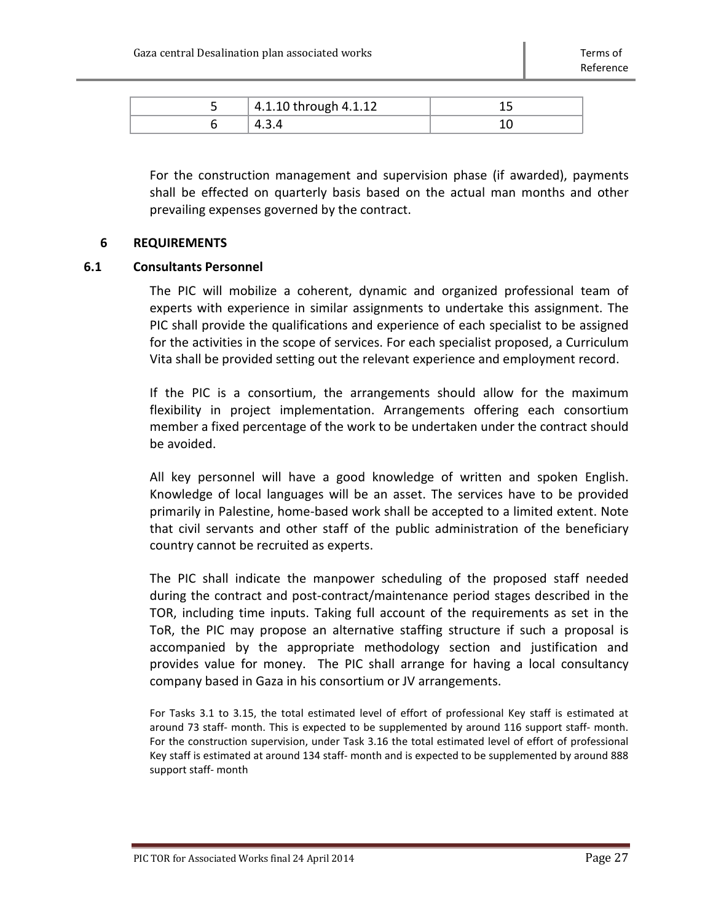| 4.1.10 through 4.1.12 |  |
|-----------------------|--|
|                       |  |

For the construction management and supervision phase (if awarded), payments shall be effected on quarterly basis based on the actual man months and other prevailing expenses governed by the contract.

#### <span id="page-26-0"></span>**6 REQUIREMENTS**

#### <span id="page-26-1"></span>**6.1 Consultants Personnel**

The PIC will mobilize a coherent, dynamic and organized professional team of experts with experience in similar assignments to undertake this assignment. The PIC shall provide the qualifications and experience of each specialist to be assigned for the activities in the scope of services. For each specialist proposed, a Curriculum Vita shall be provided setting out the relevant experience and employment record.

If the PIC is a consortium, the arrangements should allow for the maximum flexibility in project implementation. Arrangements offering each consortium member a fixed percentage of the work to be undertaken under the contract should be avoided.

All key personnel will have a good knowledge of written and spoken English. Knowledge of local languages will be an asset. The services have to be provided primarily in Palestine, home-based work shall be accepted to a limited extent. Note that civil servants and other staff of the public administration of the beneficiary country cannot be recruited as experts.

The PIC shall indicate the manpower scheduling of the proposed staff needed during the contract and post-contract/maintenance period stages described in the TOR, including time inputs. Taking full account of the requirements as set in the ToR, the PIC may propose an alternative staffing structure if such a proposal is accompanied by the appropriate methodology section and justification and provides value for money. The PIC shall arrange for having a local consultancy company based in Gaza in his consortium or JV arrangements.

For Tasks 3.1 to 3.15, the total estimated level of effort of professional Key staff is estimated at around 73 staff- month. This is expected to be supplemented by around 116 support staff- month. For the construction supervision, under Task 3.16 the total estimated level of effort of professional Key staff is estimated at around 134 staff- month and is expected to be supplemented by around 888 support staff- month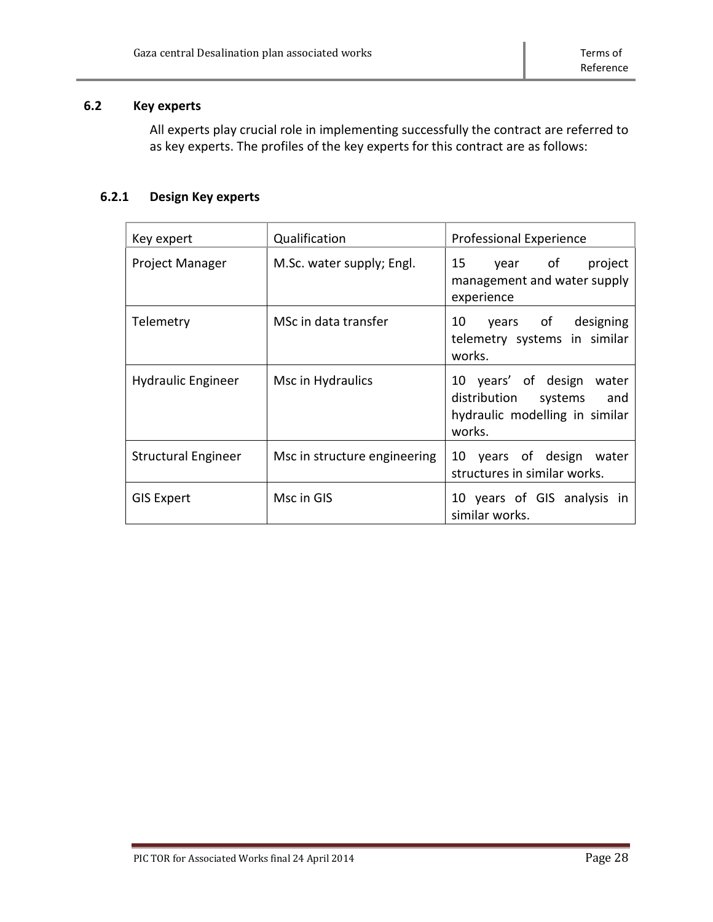# <span id="page-27-0"></span>**6.2 Key experts**

All experts play crucial role in implementing successfully the contract are referred to as key experts. The profiles of the key experts for this contract are as follows:

# **6.2.1 Design Key experts**

| Key expert          | Qualification                | <b>Professional Experience</b>                                                                    |
|---------------------|------------------------------|---------------------------------------------------------------------------------------------------|
| Project Manager     | M.Sc. water supply; Engl.    | 15<br>year of<br>project<br>management and water supply<br>experience                             |
| Telemetry           | MSc in data transfer         | 10 years of designing<br>telemetry systems in similar<br>works.                                   |
| Hydraulic Engineer  | Msc in Hydraulics            | 10 years' of design water<br>distribution systems and<br>hydraulic modelling in similar<br>works. |
| Structural Engineer | Msc in structure engineering | 10 years of design water<br>structures in similar works.                                          |
| <b>GIS Expert</b>   | Msc in GIS                   | 10 years of GIS analysis in<br>similar works.                                                     |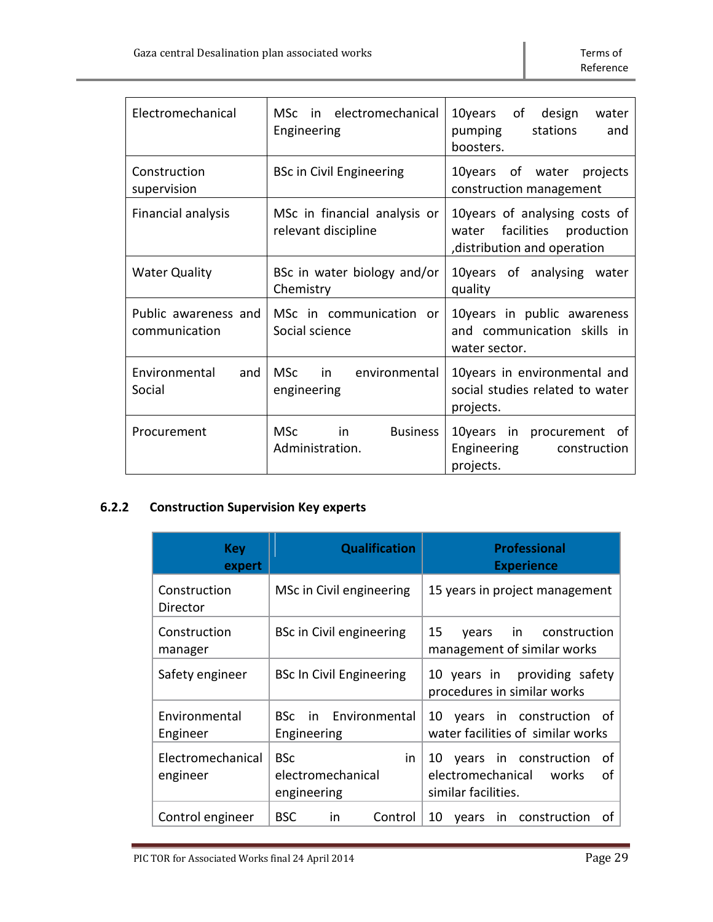| Electromechanical                     | in electromechanical<br>MSc –<br>Engineering           | 10years<br>of<br>design<br>water<br>pumping<br>stations<br>and<br>boosters.                    |
|---------------------------------------|--------------------------------------------------------|------------------------------------------------------------------------------------------------|
| Construction<br>supervision           | <b>BSc in Civil Engineering</b>                        | of water projects<br>10years<br>construction management                                        |
| <b>Financial analysis</b>             | MSc in financial analysis or<br>relevant discipline    | 10years of analysing costs of<br>facilities production<br>water<br>distribution and operation, |
| <b>Water Quality</b>                  | BSc in water biology and/or<br>Chemistry               | 10years of analysing water<br>quality                                                          |
| Public awareness and<br>communication | MSc in communication or<br>Social science              | 10 years in public awareness<br>and communication skills in<br>water sector.                   |
| Environmental<br>and<br>Social        | <b>MSc</b><br>in<br>environmental<br>engineering       | 10years in environmental and<br>social studies related to water<br>projects.                   |
| Procurement                           | <b>MSc</b><br>in<br><b>Business</b><br>Administration. | 10years in procurement of<br>Engineering<br>construction<br>projects.                          |

# **6.2.2 Construction Supervision Key experts**

| <b>Key</b><br>expert          | <b>Qualification</b>                                 | <b>Professional</b><br><b>Experience</b>                                               |
|-------------------------------|------------------------------------------------------|----------------------------------------------------------------------------------------|
| Construction<br>Director      | MSc in Civil engineering                             | 15 years in project management                                                         |
| Construction<br>manager       | BSc in Civil engineering                             | 15<br>in construction<br>vears<br>management of similar works                          |
| Safety engineer               | <b>BSc In Civil Engineering</b>                      | 10 years in providing safety<br>procedures in similar works                            |
| Environmental<br>Engineer     | BSc in Environmental<br>Engineering                  | years in construction of<br>10<br>water facilities of similar works                    |
| Electromechanical<br>engineer | <b>BSc</b><br>in<br>electromechanical<br>engineering | 10 years in construction<br>οf<br>electromechanical works<br>Ωf<br>similar facilities. |
| Control engineer              | BSC.<br>Control<br>in.                               | 10<br>in construction<br>οf<br>vears                                                   |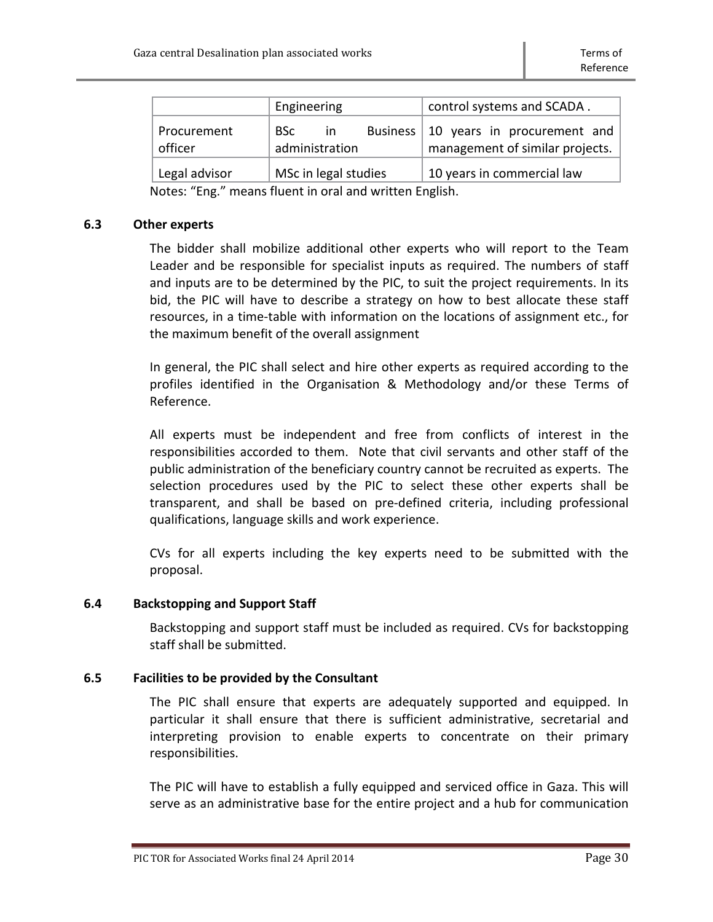|                        | Engineering                                | control systems and SCADA.                                     |
|------------------------|--------------------------------------------|----------------------------------------------------------------|
| Procurement<br>officer | Business  <br>BSc<br>-in<br>administration | 10 years in procurement and<br>management of similar projects. |
| Legal advisor          | MSc in legal studies                       | 10 years in commercial law                                     |

Notes: "Eng." means fluent in oral and written English.

# <span id="page-29-0"></span>**6.3 Other experts**

The bidder shall mobilize additional other experts who will report to the Team Leader and be responsible for specialist inputs as required. The numbers of staff and inputs are to be determined by the PIC, to suit the project requirements. In its bid, the PIC will have to describe a strategy on how to best allocate these staff resources, in a time-table with information on the locations of assignment etc., for the maximum benefit of the overall assignment

In general, the PIC shall select and hire other experts as required according to the profiles identified in the Organisation & Methodology and/or these Terms of Reference.

All experts must be independent and free from conflicts of interest in the responsibilities accorded to them. Note that civil servants and other staff of the public administration of the beneficiary country cannot be recruited as experts. The selection procedures used by the PIC to select these other experts shall be transparent, and shall be based on pre-defined criteria, including professional qualifications, language skills and work experience.

CVs for all experts including the key experts need to be submitted with the proposal.

# <span id="page-29-1"></span>**6.4 Backstopping and Support Staff**

Backstopping and support staff must be included as required. CVs for backstopping staff shall be submitted.

# <span id="page-29-2"></span>**6.5 Facilities to be provided by the Consultant**

The PIC shall ensure that experts are adequately supported and equipped. In particular it shall ensure that there is sufficient administrative, secretarial and interpreting provision to enable experts to concentrate on their primary responsibilities.

The PIC will have to establish a fully equipped and serviced office in Gaza. This will serve as an administrative base for the entire project and a hub for communication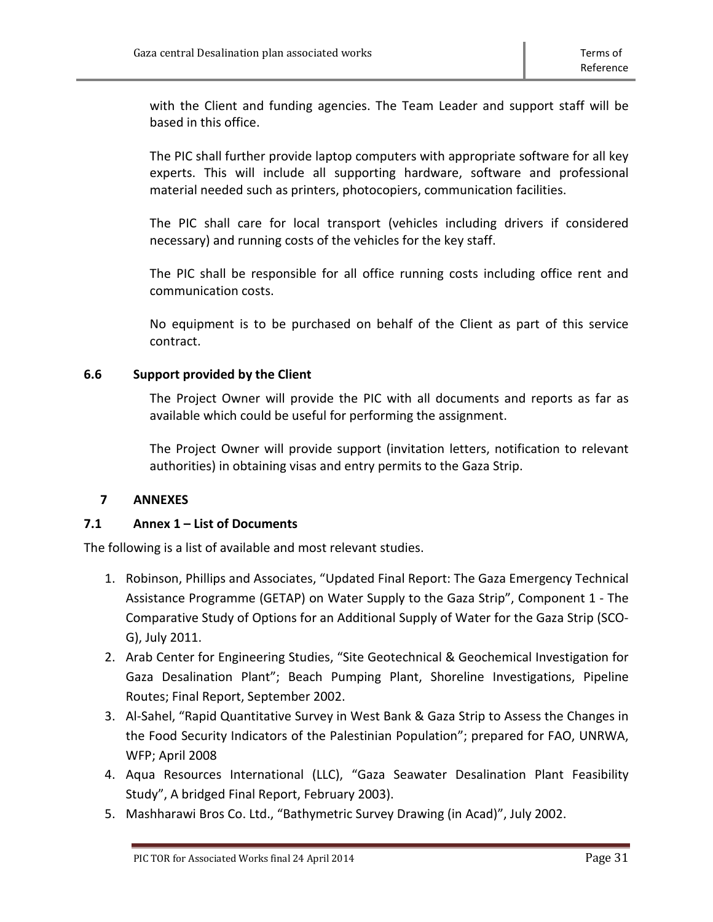with the Client and funding agencies. The Team Leader and support staff will be based in this office.

The PIC shall further provide laptop computers with appropriate software for all key experts. This will include all supporting hardware, software and professional material needed such as printers, photocopiers, communication facilities.

The PIC shall care for local transport (vehicles including drivers if considered necessary) and running costs of the vehicles for the key staff.

The PIC shall be responsible for all office running costs including office rent and communication costs.

No equipment is to be purchased on behalf of the Client as part of this service contract.

# <span id="page-30-0"></span>**6.6 Support provided by the Client**

The Project Owner will provide the PIC with all documents and reports as far as available which could be useful for performing the assignment.

The Project Owner will provide support (invitation letters, notification to relevant authorities) in obtaining visas and entry permits to the Gaza Strip.

# <span id="page-30-1"></span>**7 ANNEXES**

# <span id="page-30-2"></span>**7.1 Annex 1 – List of Documents**

The following is a list of available and most relevant studies.

- 1. Robinson, Phillips and Associates, "Updated Final Report: The Gaza Emergency Technical Assistance Programme (GETAP) on Water Supply to the Gaza Strip", Component 1 - The Comparative Study of Options for an Additional Supply of Water for the Gaza Strip (SCO-G), July 2011.
- 2. Arab Center for Engineering Studies, "Site Geotechnical & Geochemical Investigation for Gaza Desalination Plant"; Beach Pumping Plant, Shoreline Investigations, Pipeline Routes; Final Report, September 2002.
- 3. Al-Sahel, "Rapid Quantitative Survey in West Bank & Gaza Strip to Assess the Changes in the Food Security Indicators of the Palestinian Population"; prepared for FAO, UNRWA, WFP; April 2008
- 4. Aqua Resources International (LLC), "Gaza Seawater Desalination Plant Feasibility Study", A bridged Final Report, February 2003).
- 5. Mashharawi Bros Co. Ltd., "Bathymetric Survey Drawing (in Acad)", July 2002.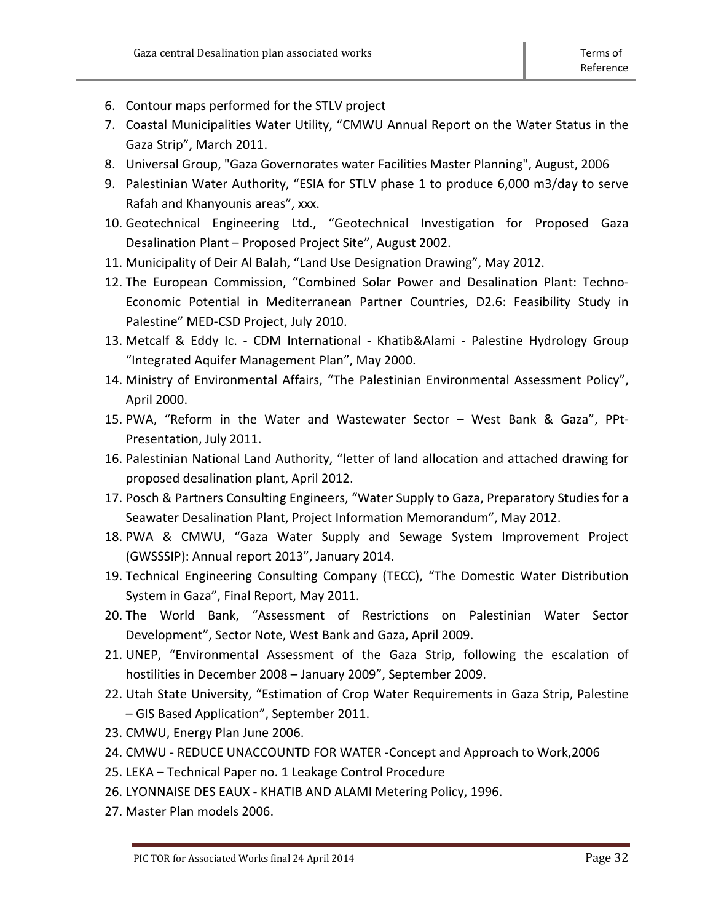- 6. Contour maps performed for the STLV project
- 7. Coastal Municipalities Water Utility, "CMWU Annual Report on the Water Status in the Gaza Strip", March 2011.
- 8. Universal Group, "Gaza Governorates water Facilities Master Planning", August, 2006
- 9. Palestinian Water Authority, "ESIA for STLV phase 1 to produce 6,000 m3/day to serve Rafah and Khanyounis areas", xxx.
- 10. Geotechnical Engineering Ltd., "Geotechnical Investigation for Proposed Gaza Desalination Plant – Proposed Project Site", August 2002.
- 11. Municipality of Deir Al Balah, "Land Use Designation Drawing", May 2012.
- 12. The European Commission, "Combined Solar Power and Desalination Plant: Techno-Economic Potential in Mediterranean Partner Countries, D2.6: Feasibility Study in Palestine" MED-CSD Project, July 2010.
- 13. Metcalf & Eddy Ic. CDM International Khatib&Alami Palestine Hydrology Group "Integrated Aquifer Management Plan", May 2000.
- 14. Ministry of Environmental Affairs, "The Palestinian Environmental Assessment Policy", April 2000.
- 15. PWA, "Reform in the Water and Wastewater Sector West Bank & Gaza", PPt-Presentation, July 2011.
- 16. Palestinian National Land Authority, "letter of land allocation and attached drawing for proposed desalination plant, April 2012.
- 17. Posch & Partners Consulting Engineers, "Water Supply to Gaza, Preparatory Studies for a Seawater Desalination Plant, Project Information Memorandum", May 2012.
- 18. PWA & CMWU, "Gaza Water Supply and Sewage System Improvement Project (GWSSSIP): Annual report 2013", January 2014.
- 19. Technical Engineering Consulting Company (TECC), "The Domestic Water Distribution System in Gaza", Final Report, May 2011.
- 20. The World Bank, "Assessment of Restrictions on Palestinian Water Sector Development", Sector Note, West Bank and Gaza, April 2009.
- 21. UNEP, "Environmental Assessment of the Gaza Strip, following the escalation of hostilities in December 2008 – January 2009", September 2009.
- 22. Utah State University, "Estimation of Crop Water Requirements in Gaza Strip, Palestine – GIS Based Application", September 2011.
- 23. CMWU, Energy Plan June 2006.
- 24. CMWU REDUCE UNACCOUNTD FOR WATER -Concept and Approach to Work,2006
- 25. LEKA Technical Paper no. 1 Leakage Control Procedure
- 26. LYONNAISE DES EAUX KHATIB AND ALAMI Metering Policy, 1996.
- 27. Master Plan models 2006.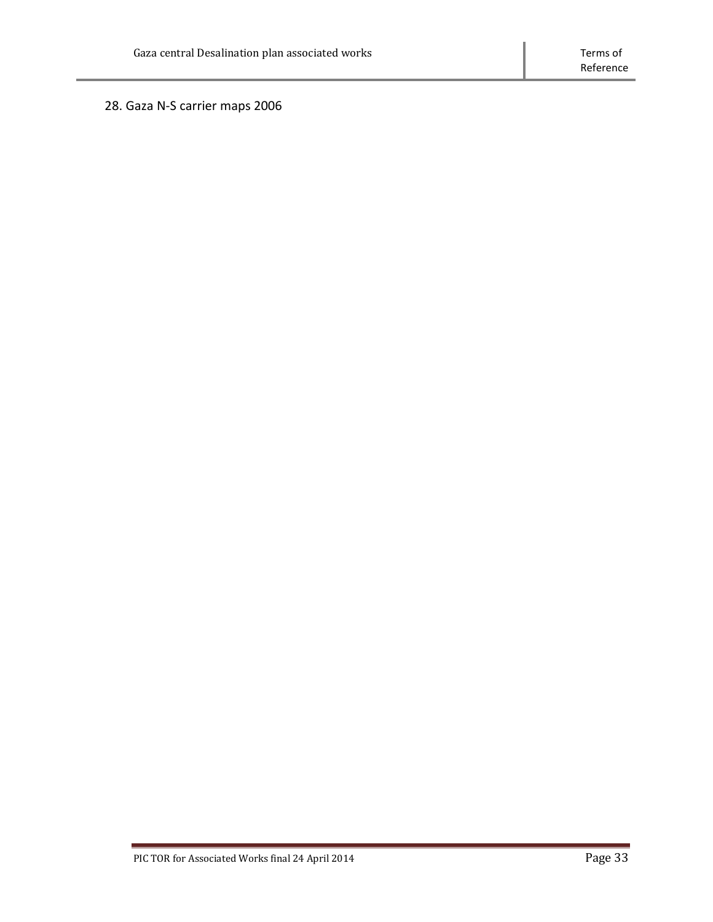28. Gaza N-S carrier maps 2006